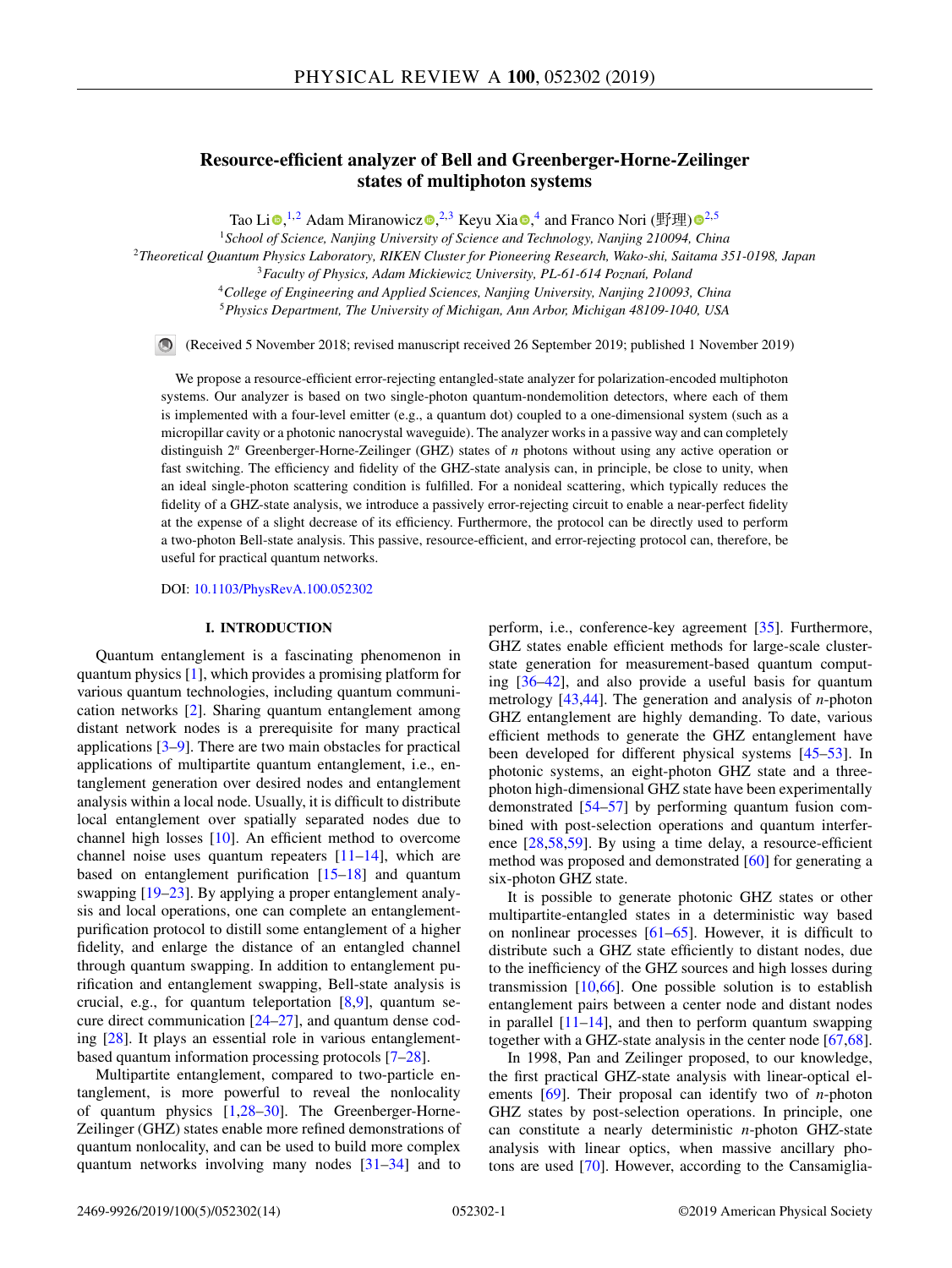# **Resource-efficient analyzer of Bell and Greenberger-Horne-Zeilinger states of multiphoton systems**

Tao Li $\bullet$ [,](https://orcid.org/0000-0002-7470-6626)<sup>1,2</sup> Adam Miranowic[z](https://orcid.org/0000-0002-8222-9268) $\bullet$ ,<sup>2,3</sup> Keyu Xia $\bullet$ ,<sup>4</sup> and Franco Nori (野理[\)](https://orcid.org/0000-0003-3682-7432) $\bullet$ <sup>2,5</sup>

<sup>1</sup>*School of Science, Nanjing University of Science and Technology, Nanjing 210094, China*

<sup>2</sup>*Theoretical Quantum Physics Laboratory, RIKEN Cluster for Pioneering Research, Wako-shi, Saitama 351-0198, Japan*

<sup>3</sup> Faculty of Physics, Adam Mickiewicz University, PL-61-614 Poznań, Poland

<sup>4</sup>*College of Engineering and Applied Sciences, Nanjing University, Nanjing 210093, China*

<sup>5</sup>*Physics Department, The University of Michigan, Ann Arbor, Michigan 48109-1040, USA*

(Received 5 November 2018; revised manuscript received 26 September 2019; published 1 November 2019)

We propose a resource-efficient error-rejecting entangled-state analyzer for polarization-encoded multiphoton systems. Our analyzer is based on two single-photon quantum-nondemolition detectors, where each of them is implemented with a four-level emitter (e.g., a quantum dot) coupled to a one-dimensional system (such as a micropillar cavity or a photonic nanocrystal waveguide). The analyzer works in a passive way and can completely distinguish 2<sup>n</sup> Greenberger-Horne-Zeilinger (GHZ) states of *n* photons without using any active operation or fast switching. The efficiency and fidelity of the GHZ-state analysis can, in principle, be close to unity, when an ideal single-photon scattering condition is fulfilled. For a nonideal scattering, which typically reduces the fidelity of a GHZ-state analysis, we introduce a passively error-rejecting circuit to enable a near-perfect fidelity at the expense of a slight decrease of its efficiency. Furthermore, the protocol can be directly used to perform a two-photon Bell-state analysis. This passive, resource-efficient, and error-rejecting protocol can, therefore, be useful for practical quantum networks.

DOI: [10.1103/PhysRevA.100.052302](https://doi.org/10.1103/PhysRevA.100.052302)

#### **I. INTRODUCTION**

Quantum entanglement is a fascinating phenomenon in quantum physics [\[1\]](#page-10-0), which provides a promising platform for various quantum technologies, including quantum communication networks [\[2\]](#page-10-0). Sharing quantum entanglement among distant network nodes is a prerequisite for many practical applications [\[3–9\]](#page-10-0). There are two main obstacles for practical applications of multipartite quantum entanglement, i.e., entanglement generation over desired nodes and entanglement analysis within a local node. Usually, it is difficult to distribute local entanglement over spatially separated nodes due to channel high losses [\[10\]](#page-10-0). An efficient method to overcome channel noise uses quantum repeaters [\[11–14\]](#page-10-0), which are based on entanglement purification [\[15–18\]](#page-10-0) and quantum swapping [\[19–23\]](#page-10-0). By applying a proper entanglement analysis and local operations, one can complete an entanglementpurification protocol to distill some entanglement of a higher fidelity, and enlarge the distance of an entangled channel through quantum swapping. In addition to entanglement purification and entanglement swapping, Bell-state analysis is crucial, e.g., for quantum teleportation [\[8,9\]](#page-10-0), quantum secure direct communication  $[24-27]$ , and quantum dense coding [\[28\]](#page-10-0). It plays an essential role in various entanglementbased quantum information processing protocols [\[7–28\]](#page-10-0).

Multipartite entanglement, compared to two-particle entanglement, is more powerful to reveal the nonlocality of quantum physics [\[1,28–30\]](#page-10-0). The Greenberger-Horne-Zeilinger (GHZ) states enable more refined demonstrations of quantum nonlocality, and can be used to build more complex quantum networks involving many nodes [\[31–34\]](#page-10-0) and to perform, i.e., conference-key agreement [\[35\]](#page-10-0). Furthermore, GHZ states enable efficient methods for large-scale clusterstate generation for measurement-based quantum computing [\[36–42\]](#page-11-0), and also provide a useful basis for quantum metrology [\[43,44\]](#page-11-0). The generation and analysis of *n*-photon GHZ entanglement are highly demanding. To date, various efficient methods to generate the GHZ entanglement have been developed for different physical systems [\[45–53\]](#page-11-0). In photonic systems, an eight-photon GHZ state and a threephoton high-dimensional GHZ state have been experimentally demonstrated [\[54–57\]](#page-11-0) by performing quantum fusion combined with post-selection operations and quantum interference [\[28,](#page-10-0)[58,59\]](#page-11-0). By using a time delay, a resource-efficient method was proposed and demonstrated [\[60\]](#page-11-0) for generating a six-photon GHZ state.

It is possible to generate photonic GHZ states or other multipartite-entangled states in a deterministic way based on nonlinear processes [\[61–65\]](#page-11-0). However, it is difficult to distribute such a GHZ state efficiently to distant nodes, due to the inefficiency of the GHZ sources and high losses during transmission [\[10,](#page-10-0)[66\]](#page-11-0). One possible solution is to establish entanglement pairs between a center node and distant nodes in parallel  $[11-14]$ , and then to perform quantum swapping together with a GHZ-state analysis in the center node [\[67,68\]](#page-11-0).

In 1998, Pan and Zeilinger proposed, to our knowledge, the first practical GHZ-state analysis with linear-optical elements [\[69\]](#page-11-0). Their proposal can identify two of *n*-photon GHZ states by post-selection operations. In principle, one can constitute a nearly deterministic *n*-photon GHZ-state analysis with linear optics, when massive ancillary photons are used [\[70\]](#page-11-0). However, according to the Cansamiglia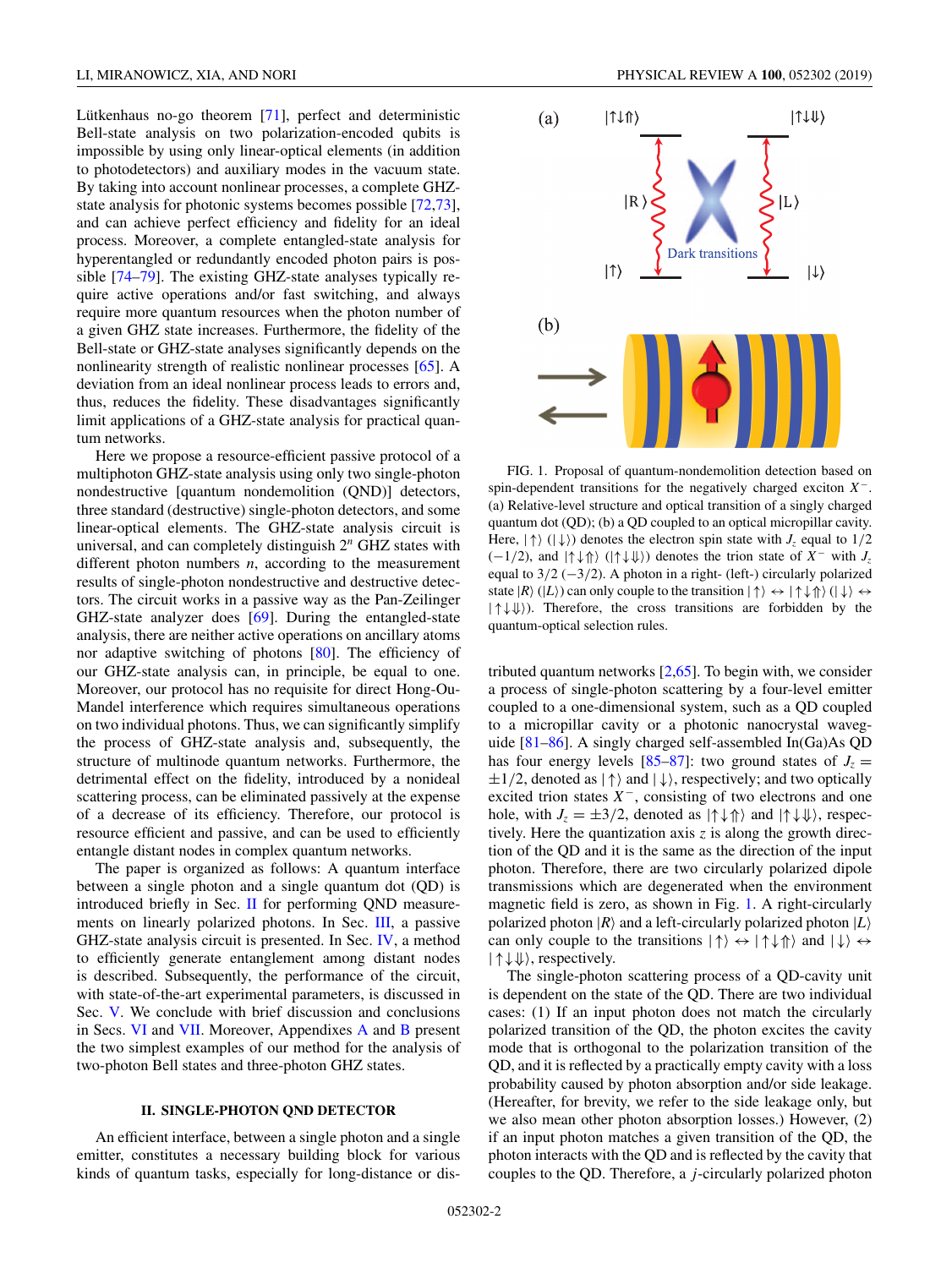<span id="page-1-0"></span>Lütkenhaus no-go theorem [\[71\]](#page-11-0), perfect and deterministic Bell-state analysis on two polarization-encoded qubits is impossible by using only linear-optical elements (in addition to photodetectors) and auxiliary modes in the vacuum state. By taking into account nonlinear processes, a complete GHZstate analysis for photonic systems becomes possible [\[72,73\]](#page-11-0), and can achieve perfect efficiency and fidelity for an ideal process. Moreover, a complete entangled-state analysis for hyperentangled or redundantly encoded photon pairs is possible [\[74](#page-11-0)[–79\]](#page-12-0). The existing GHZ-state analyses typically require active operations and/or fast switching, and always require more quantum resources when the photon number of a given GHZ state increases. Furthermore, the fidelity of the Bell-state or GHZ-state analyses significantly depends on the nonlinearity strength of realistic nonlinear processes [\[65\]](#page-11-0). A deviation from an ideal nonlinear process leads to errors and, thus, reduces the fidelity. These disadvantages significantly limit applications of a GHZ-state analysis for practical quantum networks.

Here we propose a resource-efficient passive protocol of a multiphoton GHZ-state analysis using only two single-photon nondestructive [quantum nondemolition (QND)] detectors, three standard (destructive) single-photon detectors, and some linear-optical elements. The GHZ-state analysis circuit is universal, and can completely distinguish 2*<sup>n</sup>* GHZ states with different photon numbers *n*, according to the measurement results of single-photon nondestructive and destructive detectors. The circuit works in a passive way as the Pan-Zeilinger GHZ-state analyzer does [\[69\]](#page-11-0). During the entangled-state analysis, there are neither active operations on ancillary atoms nor adaptive switching of photons [\[80\]](#page-12-0). The efficiency of our GHZ-state analysis can, in principle, be equal to one. Moreover, our protocol has no requisite for direct Hong-Ou-Mandel interference which requires simultaneous operations on two individual photons. Thus, we can significantly simplify the process of GHZ-state analysis and, subsequently, the structure of multinode quantum networks. Furthermore, the detrimental effect on the fidelity, introduced by a nonideal scattering process, can be eliminated passively at the expense of a decrease of its efficiency. Therefore, our protocol is resource efficient and passive, and can be used to efficiently entangle distant nodes in complex quantum networks.

The paper is organized as follows: A quantum interface between a single photon and a single quantum dot (QD) is introduced briefly in Sec. II for performing QND measurements on linearly polarized photons. In Sec. [III,](#page-2-0) a passive GHZ-state analysis circuit is presented. In Sec. [IV,](#page-4-0) a method to efficiently generate entanglement among distant nodes is described. Subsequently, the performance of the circuit, with state-of-the-art experimental parameters, is discussed in Sec. [V.](#page-5-0) We conclude with brief discussion and conclusions in Secs. [VI](#page-7-0) and [VII.](#page-8-0) Moreover, Appendixes [A](#page-8-0) and [B](#page-9-0) present the two simplest examples of our method for the analysis of two-photon Bell states and three-photon GHZ states.

# **II. SINGLE-PHOTON QND DETECTOR**

An efficient interface, between a single photon and a single emitter, constitutes a necessary building block for various kinds of quantum tasks, especially for long-distance or dis-



FIG. 1. Proposal of quantum-nondemolition detection based on spin-dependent transitions for the negatively charged exciton *X* <sup>−</sup>. (a) Relative-level structure and optical transition of a singly charged quantum dot (QD); (b) a QD coupled to an optical micropillar cavity. Here,  $|\uparrow\rangle$  ( $|\downarrow\rangle$ ) denotes the electron spin state with  $J_z$  equal to  $1/2$  $(-1/2)$ , and  $|\{\uparrow\,\downarrow\,\uparrow\}\rangle$  ( $|\uparrow\,\downarrow\,\downarrow\,\rangle$ ) denotes the trion state of *X*<sup>-</sup> with *J<sub>z</sub>* equal to  $3/2$  ( $-3/2$ ). A photon in a right- (left-) circularly polarized state  $|R\rangle$  ( $|L\rangle$ ) can only couple to the transition  $|\uparrow\rangle \leftrightarrow |\uparrow \downarrow \uparrow \rangle$  ( $|\downarrow\rangle \leftrightarrow$ |↑↓⇓). Therefore, the cross transitions are forbidden by the quantum-optical selection rules.

tributed quantum networks  $[2,65]$  $[2,65]$ . To begin with, we consider a process of single-photon scattering by a four-level emitter coupled to a one-dimensional system, such as a QD coupled to a micropillar cavity or a photonic nanocrystal waveguide [\[81–86\]](#page-12-0). A singly charged self-assembled In(Ga)As QD has four energy levels [\[85–87\]](#page-12-0): two ground states of  $J_z =$  $\pm 1/2$ , denoted as  $|\uparrow\rangle$  and  $|\downarrow\rangle$ , respectively; and two optically excited trion states  $X^-$ , consisting of two electrons and one hole, with  $J_z = \pm 3/2$ , denoted as  $|\uparrow \downarrow \uparrow \rangle$  and  $|\uparrow \downarrow \downarrow \rangle$ , respectively. Here the quantization axis *z* is along the growth direction of the QD and it is the same as the direction of the input photon. Therefore, there are two circularly polarized dipole transmissions which are degenerated when the environment magnetic field is zero, as shown in Fig. 1. A right-circularly polarized photon  $|R\rangle$  and a left-circularly polarized photon  $|L\rangle$ can only couple to the transitions  $|\uparrow\rangle \leftrightarrow |\uparrow\downarrow\uparrow\rangle$  and  $|\downarrow\rangle \leftrightarrow$ |↑↓⇓, respectively.

The single-photon scattering process of a QD-cavity unit is dependent on the state of the QD. There are two individual cases: (1) If an input photon does not match the circularly polarized transition of the QD, the photon excites the cavity mode that is orthogonal to the polarization transition of the QD, and it is reflected by a practically empty cavity with a loss probability caused by photon absorption and/or side leakage. (Hereafter, for brevity, we refer to the side leakage only, but we also mean other photon absorption losses.) However, (2) if an input photon matches a given transition of the QD, the photon interacts with the QD and is reflected by the cavity that couples to the QD. Therefore, a *j*-circularly polarized photon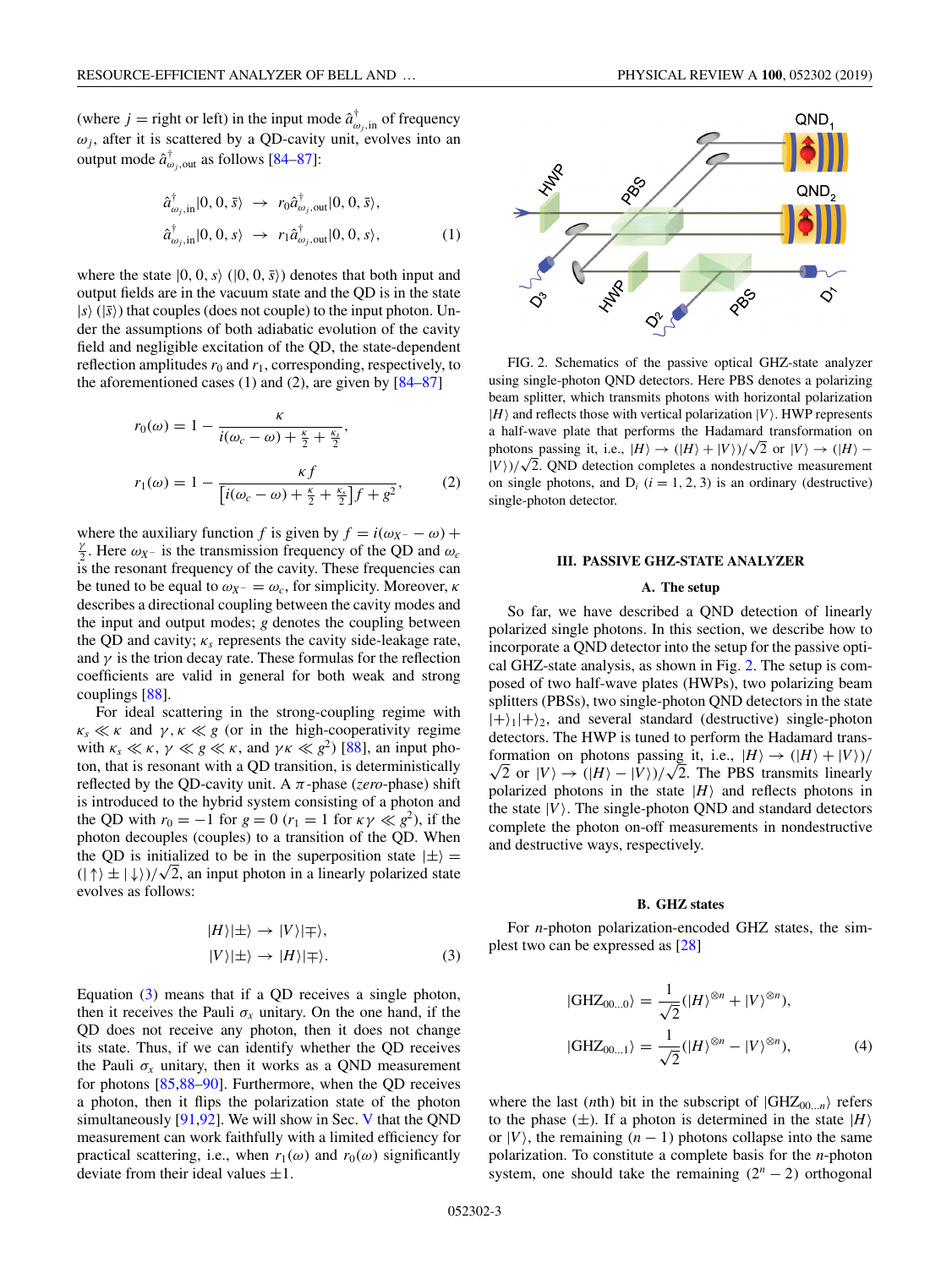<span id="page-2-0"></span>(where  $j =$  right or left) in the input mode  $\hat{a}^{\dagger}_{\omega_j, \text{in}}$  of frequency  $\omega_j$ , after it is scattered by a QD-cavity unit, evolves into an output mode  $\hat{a}^{\dagger}_{\omega_j,\text{out}}$  as follows [\[84–87\]](#page-12-0):

$$
\hat{a}_{\omega_j, \text{in}}^{\dagger} |0, 0, \bar{s}\rangle \rightarrow r_0 \hat{a}_{\omega_j, \text{out}}^{\dagger} |0, 0, \bar{s}\rangle,
$$
  

$$
\hat{a}_{\omega_j, \text{in}}^{\dagger} |0, 0, s\rangle \rightarrow r_1 \hat{a}_{\omega_j, \text{out}}^{\dagger} |0, 0, s\rangle,
$$
 (1)

where the state  $|0, 0, s \rangle$  ( $|0, 0, \overline{s} \rangle$ ) denotes that both input and output fields are in the vacuum state and the QD is in the state  $|s\rangle$  ( $|\bar{s}\rangle$ ) that couples (does not couple) to the input photon. Under the assumptions of both adiabatic evolution of the cavity field and negligible excitation of the QD, the state-dependent reflection amplitudes  $r_0$  and  $r_1$ , corresponding, respectively, to the aforementioned cases  $(1)$  and  $(2)$ , are given by  $[84–87]$ 

$$
r_0(\omega) = 1 - \frac{\kappa}{i(\omega_c - \omega) + \frac{\kappa}{2} + \frac{\kappa_s}{2}},
$$
  

$$
r_1(\omega) = 1 - \frac{\kappa f}{[i(\omega_c - \omega) + \frac{\kappa}{2} + \frac{\kappa_s}{2}]f + g^2},
$$
 (2)

where the auxiliary function *f* is given by  $f = i(\omega_X - \omega) +$  $\frac{\gamma}{2}$ . Here  $\omega_X$ - is the transmission frequency of the QD and  $\omega_c$ is the resonant frequency of the cavity. These frequencies can be tuned to be equal to  $\omega_{X^-} = \omega_c$ , for simplicity. Moreover,  $\kappa$ describes a directional coupling between the cavity modes and the input and output modes; *g* denotes the coupling between the QD and cavity;  $\kappa_s$  represents the cavity side-leakage rate, and  $\gamma$  is the trion decay rate. These formulas for the reflection coefficients are valid in general for both weak and strong couplings [\[88\]](#page-12-0).

For ideal scattering in the strong-coupling regime with  $\kappa_s \ll \kappa$  and  $\gamma$ ,  $\kappa \ll g$  (or in the high-cooperativity regime with  $\kappa_s \ll \kappa$ ,  $\gamma \ll g \ll \kappa$ , and  $\gamma \kappa \ll g^2$ ) [\[88\]](#page-12-0), an input photon, that is resonant with a QD transition, is deterministically reflected by the QD-cavity unit. A  $\pi$ -phase (*zero*-phase) shift is introduced to the hybrid system consisting of a photon and the QD with  $r_0 = -1$  for  $g = 0$  ( $r_1 = 1$  for  $\kappa \gamma \ll g^2$ ), if the photon decouples (couples) to a transition of the QD. When the QD is initialized to be in the superposition state  $|\pm\rangle$  = the QD is initialized to be in the superposition state  $|\pm\rangle$  =  $(|\uparrow\rangle \pm |\downarrow\rangle)/\sqrt{2}$ , an input photon in a linearly polarized state evolves as follows:

$$
|H\rangle|\pm\rangle \rightarrow |V\rangle|\mp\rangle,
$$
  

$$
|V\rangle|\pm\rangle \rightarrow |H\rangle|\mp\rangle.
$$
 (3)

Equation (3) means that if a QD receives a single photon, then it receives the Pauli  $\sigma_x$  unitary. On the one hand, if the QD does not receive any photon, then it does not change its state. Thus, if we can identify whether the QD receives the Pauli  $\sigma_x$  unitary, then it works as a QND measurement for photons [\[85,88–90\]](#page-12-0). Furthermore, when the QD receives a photon, then it flips the polarization state of the photon simultaneously [\[91,92\]](#page-12-0). We will show in Sec. [V](#page-5-0) that the QND measurement can work faithfully with a limited efficiency for practical scattering, i.e., when  $r_1(\omega)$  and  $r_0(\omega)$  significantly deviate from their ideal values  $\pm 1$ .



PRO  $\breve{\mathcal{O}}$ FIG. 2. Schematics of the passive optical GHZ-state analyzer using single-photon QND detectors. Here PBS denotes a polarizing beam splitter, which transmits photons with horizontal polarization  $|H\rangle$  and reflects those with vertical polarization  $|V\rangle$ . HWP represents

a half-wave plate that performs the Hadamard transformation on a nair-wave plate that performs the Hadamard transformation on<br>photons passing it, i.e.,  $|H\rangle \rightarrow (|H\rangle + |V\rangle)/\sqrt{2}$  or  $|V\rangle \rightarrow (|H\rangle$ photons passing it, i.e.,  $|H\rangle \rightarrow (|H\rangle + |V\rangle)/\sqrt{2}$  or  $|V\rangle \rightarrow (|H\rangle - |V\rangle)/\sqrt{2}$ . QND detection completes a nondestructive measurement on single photons, and  $D_i$  ( $i = 1, 2, 3$ ) is an ordinary (destructive) single-photon detector.

#### **III. PASSIVE GHZ-STATE ANALYZER**

## **A. The setup**

So far, we have described a QND detection of linearly polarized single photons. In this section, we describe how to incorporate a QND detector into the setup for the passive optical GHZ-state analysis, as shown in Fig. 2. The setup is composed of two half-wave plates (HWPs), two polarizing beam splitters (PBSs), two single-photon QND detectors in the state  $|+\rangle_1|+\rangle_2$ , and several standard (destructive) single-photon detectors. The HWP is tuned to perform the Hadamard transformation on photons passing it, i.e.,  $|H\rangle \rightarrow (|H\rangle + |V\rangle)/$ rmation on photons passing it, i.e.,  $|H\rangle \rightarrow (|H\rangle + |V\rangle)/\sqrt{2}$ . The PBS transmits linearly polarized photons in the state  $|H\rangle$  and reflects photons in the state  $|V\rangle$ . The single-photon QND and standard detectors complete the photon on-off measurements in nondestructive and destructive ways, respectively.

#### **B. GHZ states**

For *n*-photon polarization-encoded GHZ states, the simplest two can be expressed as [\[28\]](#page-10-0)

$$
|\text{GHZ}_{00...0}\rangle = \frac{1}{\sqrt{2}} (|H\rangle^{\otimes n} + |V\rangle^{\otimes n}),
$$
  

$$
|\text{GHZ}_{00...1}\rangle = \frac{1}{\sqrt{2}} (|H\rangle^{\otimes n} - |V\rangle^{\otimes n}),
$$
 (4)

where the last (*n*th) bit in the subscript of  $|GHZ_{00...n}\rangle$  refers to the phase  $(\pm)$ . If a photon is determined in the state  $|H\rangle$ or  $|V\rangle$ , the remaining  $(n - 1)$  photons collapse into the same polarization. To constitute a complete basis for the *n*-photon system, one should take the remaining  $(2<sup>n</sup> - 2)$  orthogonal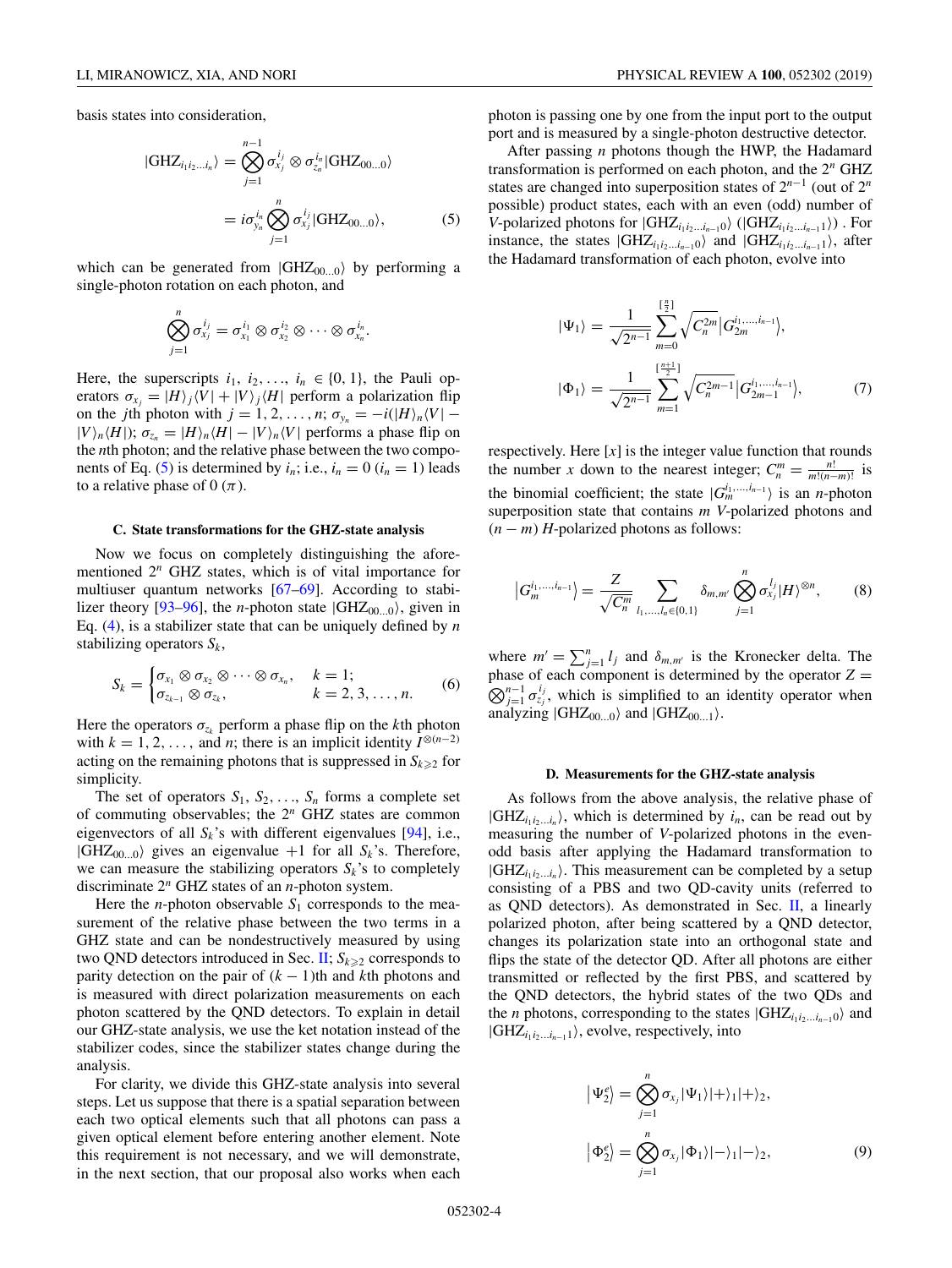<span id="page-3-0"></span>basis states into consideration,

$$
|GHZ_{i_1i_2...i_n}\rangle = \bigotimes_{j=1}^{n-1} \sigma_{x_j}^{i_j} \otimes \sigma_{z_n}^{i_n} |GHZ_{00...0}\rangle
$$

$$
= i\sigma_{y_n}^{i_n} \bigotimes_{j=1}^{n} \sigma_{x_j}^{i_j} |GHZ_{00...0}\rangle, \qquad (5)
$$

which can be generated from  $|GHZ_{00...0}\rangle$  by performing a single-photon rotation on each photon, and

$$
\bigotimes_{j=1}^n \sigma_{x_j}^{i_j} = \sigma_{x_1}^{i_1} \otimes \sigma_{x_2}^{i_2} \otimes \cdots \otimes \sigma_{x_n}^{i_n}.
$$

Here, the superscripts  $i_1$ ,  $i_2$ , ...,  $i_n \in \{0, 1\}$ , the Pauli operators  $\sigma_{x_j} = |H\rangle_j \langle V| + |V\rangle_j \langle H|$  perform a polarization flip on the *j*th photon with  $j = 1, 2, ..., n$ ;  $\sigma_{y_n} = -i(|H\rangle_n \langle V| |V\rangle_n \langle H|$ ;  $\sigma_{z_n} = |H\rangle_n \langle H| - |V\rangle_n \langle V|$  performs a phase flip on the *n*th photon; and the relative phase between the two components of Eq. (5) is determined by  $i_n$ ; i.e.,  $i_n = 0$  ( $i_n = 1$ ) leads to a relative phase of 0  $(\pi)$ .

#### **C. State transformations for the GHZ-state analysis**

Now we focus on completely distinguishing the aforementioned 2*<sup>n</sup>* GHZ states, which is of vital importance for multiuser quantum networks [\[67–69\]](#page-11-0). According to stabi-lizer theory [\[93–96\]](#page-12-0), the *n*-photon state  $|GHZ_{00...0}\rangle$ , given in Eq. [\(4\)](#page-2-0), is a stabilizer state that can be uniquely defined by *n* stabilizing operators  $S_k$ ,

$$
S_k = \begin{cases} \sigma_{x_1} \otimes \sigma_{x_2} \otimes \cdots \otimes \sigma_{x_n}, & k = 1; \\ \sigma_{x_{k-1}} \otimes \sigma_{x_k}, & k = 2, 3, \ldots, n. \end{cases}
$$
 (6)

Here the operators  $\sigma_{z_k}$  perform a phase flip on the *k*th photon with  $k = 1, 2, \ldots$ , and *n*; there is an implicit identity  $I^{\otimes (n-2)}$ acting on the remaining photons that is suppressed in  $S_{k\geq 2}$  for simplicity.

The set of operators  $S_1$ ,  $S_2$ , ...,  $S_n$  forms a complete set of commuting observables; the 2*<sup>n</sup>* GHZ states are common eigenvectors of all  $S_k$ 's with different eigenvalues [\[94\]](#page-12-0), i.e.,  $|GHZ_{00...0}\rangle$  gives an eigenvalue +1 for all  $S_k$ 's. Therefore, we can measure the stabilizing operators  $S_k$ 's to completely discriminate 2*<sup>n</sup>* GHZ states of an *n*-photon system.

Here the *n*-photon observable  $S_1$  corresponds to the measurement of the relative phase between the two terms in a GHZ state and can be nondestructively measured by using two QND detectors introduced in Sec.  $\text{II}; S_{k \geq 2}$  corresponds to parity detection on the pair of  $(k - 1)$ th and *k*th photons and is measured with direct polarization measurements on each photon scattered by the QND detectors. To explain in detail our GHZ-state analysis, we use the ket notation instead of the stabilizer codes, since the stabilizer states change during the analysis.

For clarity, we divide this GHZ-state analysis into several steps. Let us suppose that there is a spatial separation between each two optical elements such that all photons can pass a given optical element before entering another element. Note this requirement is not necessary, and we will demonstrate, in the next section, that our proposal also works when each

photon is passing one by one from the input port to the output port and is measured by a single-photon destructive detector.

After passing *n* photons though the HWP, the Hadamard transformation is performed on each photon, and the 2*<sup>n</sup>* GHZ states are changed into superposition states of 2*<sup>n</sup>*−<sup>1</sup> (out of 2*<sup>n</sup>* possible) product states, each with an even (odd) number of *V*-polarized photons for  $|GHZ_{i_1i_2...i_{n-1}0} \rangle$  ( $|GHZ_{i_1i_2...i_{n-1}1} \rangle$ ). For instance, the states  $|GHZ_{i_1i_2...i_{n-1}0}\rangle$  and  $|GHZ_{i_1i_2...i_{n-1}1}\rangle$ , after the Hadamard transformation of each photon, evolve into

$$
|\Psi_1\rangle = \frac{1}{\sqrt{2^{n-1}}} \sum_{m=0}^{[\frac{n}{2}]} \sqrt{C_n^{2m}} |G_{2m}^{i_1, \dots, i_{n-1}}\rangle,
$$
  

$$
|\Phi_1\rangle = \frac{1}{\sqrt{2^{n-1}}} \sum_{m=1}^{[\frac{n+1}{2}]} \sqrt{C_n^{2m-1}} |G_{2m-1}^{i_1, \dots, i_{n-1}}\rangle,
$$
 (7)

respectively. Here  $[x]$  is the integer value function that rounds the number *x* down to the nearest integer;  $C_n^m = \frac{n!}{m!(n-m)!}$  is the binomial coefficient; the state  $|G_m^{i_1,...,i_{n-1}}\rangle$  is an *n*-photon superposition state that contains *m V*-polarized photons and  $(n - m)$  *H*-polarized photons as follows:

$$
\left|G_m^{i_1,...,i_{n-1}}\right\rangle = \frac{Z}{\sqrt{C_n^m}} \sum_{l_1,...,l_n \in \{0,1\}} \delta_{m,m'} \bigotimes_{j=1}^n \sigma_{x_j}^{l_j} |H\rangle^{\otimes n},\tag{8}
$$

where  $m' = \sum_{j=1}^{n} l_j$  and  $\delta_{m,m'}$  is the Kronecker delta. The phase of each component is determined by the operator  $Z =$  $\bigotimes_{j=1}^{n-1} \sigma_{z_j}^{i_j}$ , which is simplified to an identity operator when analyzing  $|GHZ_{00...0}\rangle$  and  $|GHZ_{00...1}\rangle$ .

#### **D. Measurements for the GHZ-state analysis**

As follows from the above analysis, the relative phase of  $|GHZ_{i_1i_2...i_n}\rangle$ , which is determined by  $i_n$ , can be read out by measuring the number of *V*-polarized photons in the evenodd basis after applying the Hadamard transformation to  $|GHZ_{i_1i_2...i_n}\rangle$ . This measurement can be completed by a setup consisting of a PBS and two QD-cavity units (referred to as QND detectors). As demonstrated in Sec.  $II$ , a linearly polarized photon, after being scattered by a QND detector, changes its polarization state into an orthogonal state and flips the state of the detector QD. After all photons are either transmitted or reflected by the first PBS, and scattered by the QND detectors, the hybrid states of the two QDs and the *n* photons, corresponding to the states  $|GHZ_{i_1i_2...i_{n-1}0}$  and  $|GHZ_{i_1i_2...i_{n-1}}\rangle$ , evolve, respectively, into

$$
\left|\Psi_{2}^{e}\right\rangle = \bigotimes_{j=1}^{n} \sigma_{x_{j}} |\Psi_{1}\rangle |+\rangle_{1}|+\rangle_{2},
$$

$$
\left|\Phi_{2}^{e}\right\rangle = \bigotimes_{j=1}^{n} \sigma_{x_{j}} |\Phi_{1}\rangle |-\rangle_{1}|-\rangle_{2},
$$
(9)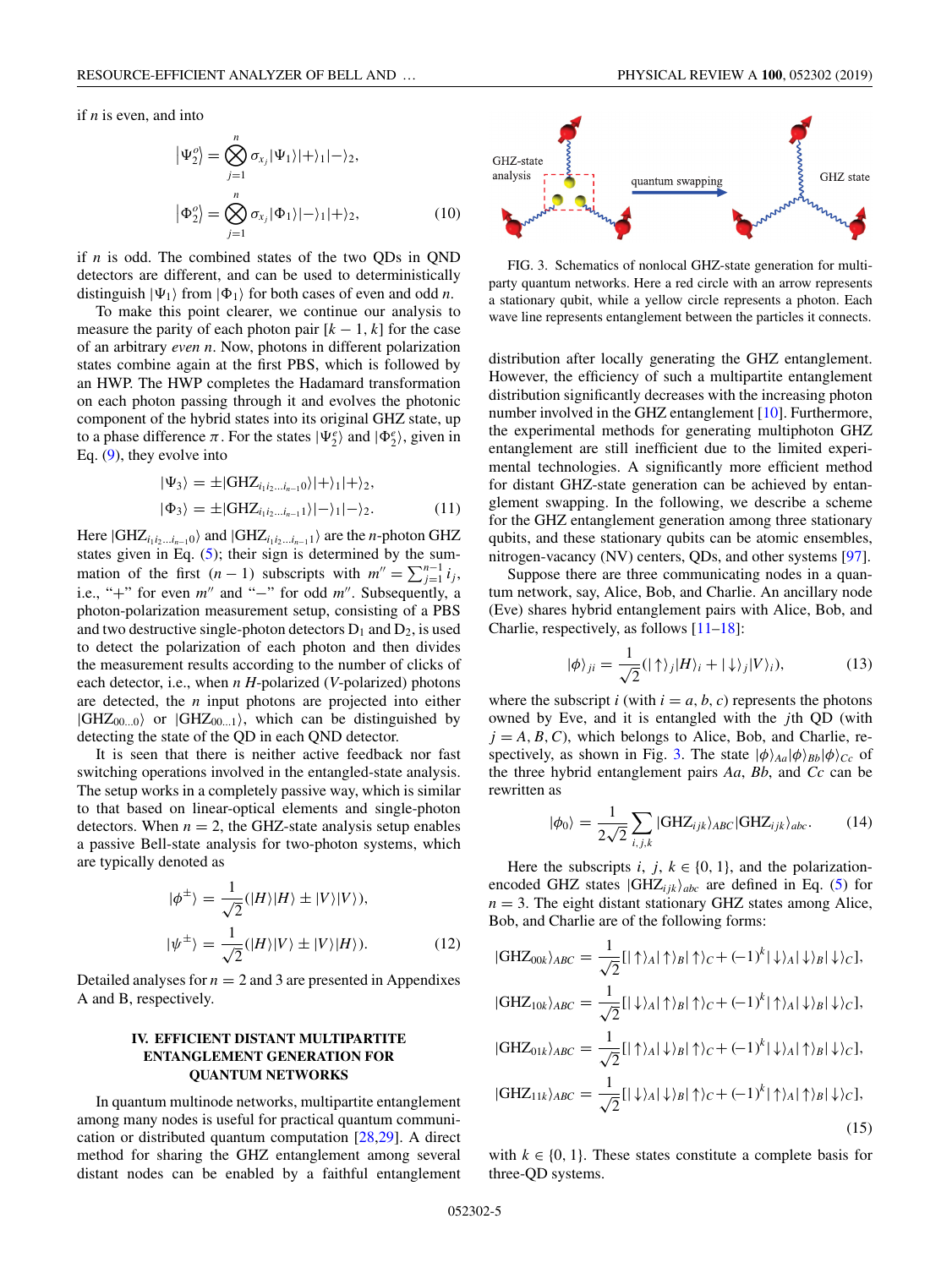<span id="page-4-0"></span>if *n* is even, and into

$$
\left| \Psi_2^o \right| = \bigotimes_{j=1}^n \sigma_{x_j} |\Psi_1\rangle |+ \rangle_1 |-\rangle_2,
$$
  

$$
\left| \Phi_2^o \right| = \bigotimes_{j=1}^n \sigma_{x_j} |\Phi_1\rangle |-\rangle_1 |+\rangle_2,
$$
 (10)

if *n* is odd. The combined states of the two QDs in QND detectors are different, and can be used to deterministically distinguish  $|\Psi_1\rangle$  from  $|\Phi_1\rangle$  for both cases of even and odd *n*.

To make this point clearer, we continue our analysis to measure the parity of each photon pair  $[k - 1, k]$  for the case of an arbitrary *even n*. Now, photons in different polarization states combine again at the first PBS, which is followed by an HWP. The HWP completes the Hadamard transformation on each photon passing through it and evolves the photonic component of the hybrid states into its original GHZ state, up to a phase difference  $\pi$ . For the states  $|\Psi_2^e\rangle$  and  $|\Phi_2^e\rangle$ , given in Eq. [\(9\)](#page-3-0), they evolve into

$$
|\Psi_3\rangle = \pm |\text{GHZ}_{i_1 i_2 \dots i_{n-1} 0}\rangle |+\rangle_1 |+\rangle_2,
$$
  

$$
|\Phi_3\rangle = \pm |\text{GHZ}_{i_1 i_2 \dots i_{n-1} 1}\rangle |-\rangle_1 |-\rangle_2.
$$
 (11)

Here  $|GHZ_{i_1i_2...i_{n-1}0}\rangle$  and  $|GHZ_{i_1i_2...i_{n-1}1}\rangle$  are the *n*-photon GHZ states given in Eq.  $(5)$ ; their sign is determined by the summation of the first  $(n - 1)$  subscripts with  $m'' = \sum_{j=1}^{n-1} i_j$ , i.e., "+" for even *m*" and "−" for odd *m*". Subsequently, a photon-polarization measurement setup, consisting of a PBS and two destructive single-photon detectors  $D_1$  and  $D_2$ , is used to detect the polarization of each photon and then divides the measurement results according to the number of clicks of each detector, i.e., when *n H*-polarized (*V*-polarized) photons are detected, the *n* input photons are projected into either  $|GHZ_{00...0}\rangle$  or  $|GHZ_{00...1}\rangle$ , which can be distinguished by detecting the state of the QD in each QND detector.

It is seen that there is neither active feedback nor fast switching operations involved in the entangled-state analysis. The setup works in a completely passive way, which is similar to that based on linear-optical elements and single-photon detectors. When  $n = 2$ , the GHZ-state analysis setup enables a passive Bell-state analysis for two-photon systems, which are typically denoted as

$$
|\phi^{\pm}\rangle = \frac{1}{\sqrt{2}}(|H\rangle|H\rangle \pm |V\rangle|V\rangle),
$$
  

$$
|\psi^{\pm}\rangle = \frac{1}{\sqrt{2}}(|H\rangle|V\rangle \pm |V\rangle|H\rangle).
$$
 (12)

Detailed analyses for  $n = 2$  and 3 are presented in Appendixes A and B, respectively.

## **IV. EFFICIENT DISTANT MULTIPARTITE ENTANGLEMENT GENERATION FOR QUANTUM NETWORKS**

In quantum multinode networks, multipartite entanglement among many nodes is useful for practical quantum communication or distributed quantum computation [\[28,29\]](#page-10-0). A direct method for sharing the GHZ entanglement among several distant nodes can be enabled by a faithful entanglement





FIG. 3. Schematics of nonlocal GHZ-state generation for multiparty quantum networks. Here a red circle with an arrow represents a stationary qubit, while a yellow circle represents a photon. Each wave line represents entanglement between the particles it connects.

distribution after locally generating the GHZ entanglement. However, the efficiency of such a multipartite entanglement distribution significantly decreases with the increasing photon number involved in the GHZ entanglement [\[10\]](#page-10-0). Furthermore, the experimental methods for generating multiphoton GHZ entanglement are still inefficient due to the limited experimental technologies. A significantly more efficient method for distant GHZ-state generation can be achieved by entanglement swapping. In the following, we describe a scheme for the GHZ entanglement generation among three stationary qubits, and these stationary qubits can be atomic ensembles, nitrogen-vacancy (NV) centers, QDs, and other systems [\[97\]](#page-12-0).

Suppose there are three communicating nodes in a quantum network, say, Alice, Bob, and Charlie. An ancillary node (Eve) shares hybrid entanglement pairs with Alice, Bob, and Charlie, respectively, as follows [\[11–18\]](#page-10-0):

$$
|\phi\rangle_{ji} = \frac{1}{\sqrt{2}} (|\uparrow\rangle_j |H\rangle_i + |\downarrow\rangle_j |V\rangle_i), \tag{13}
$$

where the subscript  $i$  (with  $i = a, b, c$ ) represents the photons owned by Eve, and it is entangled with the *j*th QD (with  $j = A, B, C$ , which belongs to Alice, Bob, and Charlie, respectively, as shown in Fig. 3. The state  $|\phi\rangle_{Aa}|\phi\rangle_{Bb}|\phi\rangle_{Cc}$  of the three hybrid entanglement pairs *Aa*, *Bb*, and *Cc* can be rewritten as

$$
|\phi_0\rangle = \frac{1}{2\sqrt{2}} \sum_{i,j,k} |\text{GHZ}_{ijk}\rangle_{ABC} |\text{GHZ}_{ijk}\rangle_{abc}.
$$
 (14)

Here the subscripts *i*, *j*,  $k \in \{0, 1\}$ , and the polarizationencoded GHZ states  $|GHZ_{ijk}\rangle_{abc}$  are defined in Eq. [\(5\)](#page-3-0) for  $n = 3$ . The eight distant stationary GHZ states among Alice, Bob, and Charlie are of the following forms:

$$
|GHZ_{00k}\rangle_{ABC} = \frac{1}{\sqrt{2}}[|\uparrow\rangle_A|\uparrow\rangle_B|\uparrow\rangle_C + (-1)^k|\downarrow\rangle_A|\downarrow\rangle_B|\downarrow\rangle_C],
$$
  
\n
$$
|GHZ_{10k}\rangle_{ABC} = \frac{1}{\sqrt{2}}[|\downarrow\rangle_A|\uparrow\rangle_B|\uparrow\rangle_C + (-1)^k|\uparrow\rangle_A|\downarrow\rangle_B|\downarrow\rangle_C],
$$
  
\n
$$
|GHZ_{01k}\rangle_{ABC} = \frac{1}{\sqrt{2}}[|\uparrow\rangle_A|\downarrow\rangle_B|\uparrow\rangle_C + (-1)^k|\downarrow\rangle_A|\uparrow\rangle_B|\downarrow\rangle_C],
$$
  
\n
$$
|GHZ_{11k}\rangle_{ABC} = \frac{1}{\sqrt{2}}[|\downarrow\rangle_A|\downarrow\rangle_B|\uparrow\rangle_C + (-1)^k|\uparrow\rangle_A|\uparrow\rangle_B|\downarrow\rangle_C],
$$
  
\n
$$
(15)
$$

with  $k \in \{0, 1\}$ . These states constitute a complete basis for three-QD systems.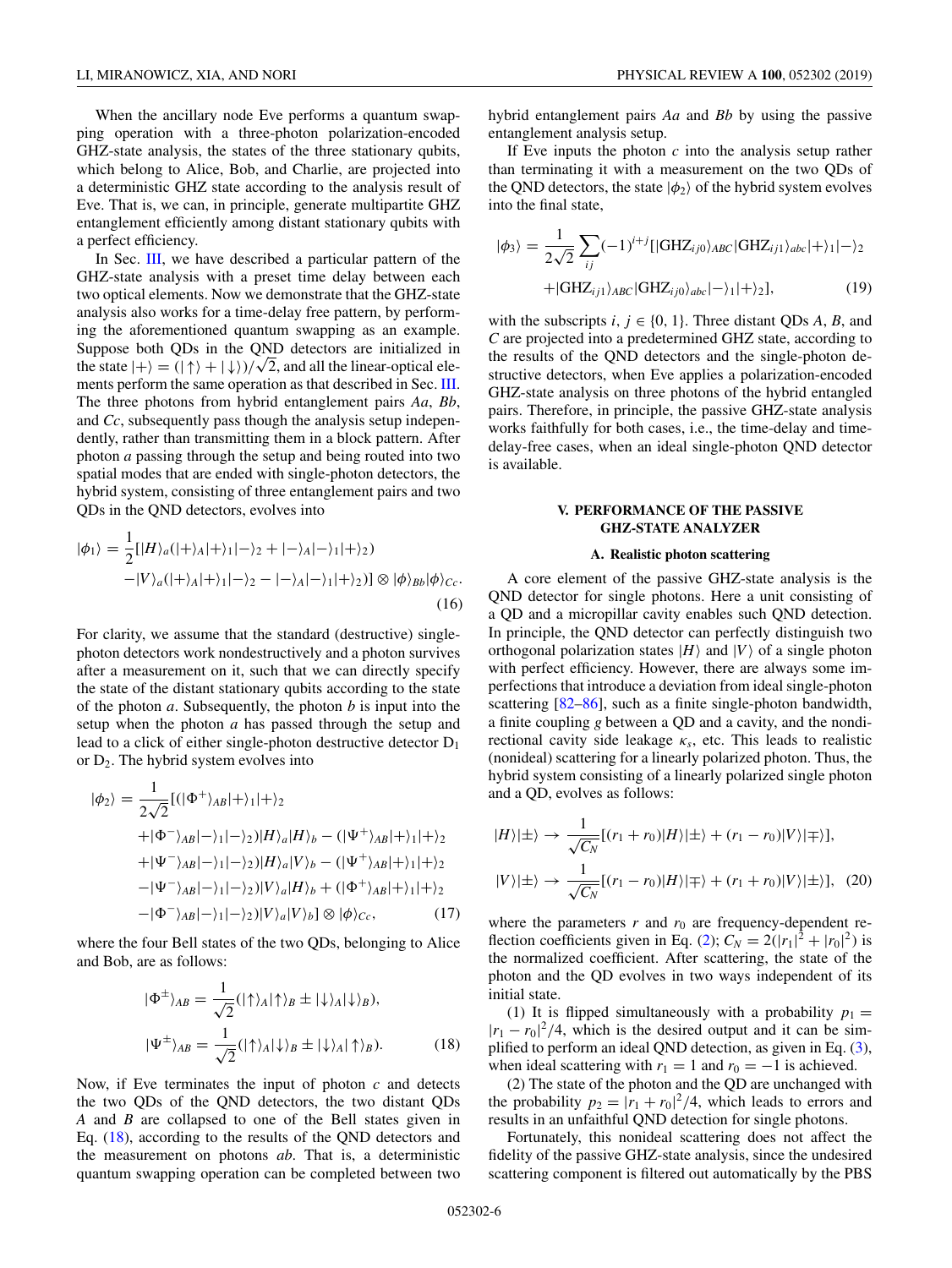<span id="page-5-0"></span>When the ancillary node Eve performs a quantum swapping operation with a three-photon polarization-encoded GHZ-state analysis, the states of the three stationary qubits, which belong to Alice, Bob, and Charlie, are projected into a deterministic GHZ state according to the analysis result of Eve. That is, we can, in principle, generate multipartite GHZ entanglement efficiently among distant stationary qubits with a perfect efficiency.

In Sec. [III,](#page-2-0) we have described a particular pattern of the GHZ-state analysis with a preset time delay between each two optical elements. Now we demonstrate that the GHZ-state analysis also works for a time-delay free pattern, by performing the aforementioned quantum swapping as an example. Suppose both QDs in the QND detectors are initialized in Suppose both QDs in the QND detectors are initialized in the state  $|+\rangle = (|\uparrow\rangle + |\downarrow\rangle)/\sqrt{2}$ , and all the linear-optical elements perform the same operation as that described in Sec. [III.](#page-2-0) The three photons from hybrid entanglement pairs *Aa*, *Bb*, and *Cc*, subsequently pass though the analysis setup independently, rather than transmitting them in a block pattern. After photon *a* passing through the setup and being routed into two spatial modes that are ended with single-photon detectors, the hybrid system, consisting of three entanglement pairs and two QDs in the QND detectors, evolves into

$$
|\phi_1\rangle = \frac{1}{2} [|H\rangle_a (|+\rangle_A |+\rangle_1 |-\rangle_2 + |-\rangle_A |-\rangle_1 |+\rangle_2)
$$
  

$$
-|V\rangle_a (|+\rangle_A |+\rangle_1 |-\rangle_2 - |-\rangle_A |-\rangle_1 |+\rangle_2)] \otimes |\phi\rangle_{bb} |\phi\rangle_{Cc}.
$$
  
(16)

For clarity, we assume that the standard (destructive) singlephoton detectors work nondestructively and a photon survives after a measurement on it, such that we can directly specify the state of the distant stationary qubits according to the state of the photon *a*. Subsequently, the photon *b* is input into the setup when the photon *a* has passed through the setup and lead to a click of either single-photon destructive detector  $D_1$ or  $D_2$ . The hybrid system evolves into

$$
|\phi_2\rangle = \frac{1}{2\sqrt{2}} [(|\Phi^+\rangle_{AB}|+ \rangle_1|+ \rangle_2
$$
  
+|\Phi^-\rangle\_{AB}|- \rangle\_1|- \rangle\_2)|H\rangle\_a|H\rangle\_b - (|\Psi^+\rangle\_{AB}|+ \rangle\_1|+ \rangle\_2  
+|\Psi^-\rangle\_{AB}|- \rangle\_1|- \rangle\_2)|H\rangle\_a|V\rangle\_b - (|\Psi^+\rangle\_{AB}|+ \rangle\_1|+ \rangle\_2  
-|\Psi^-\rangle\_{AB}|- \rangle\_1|- \rangle\_2)|V\rangle\_a|H\rangle\_b + (|\Phi^+\rangle\_{AB}|+ \rangle\_1|+ \rangle\_2  
-|\Phi^-\rangle\_{AB}|- \rangle\_1|- \rangle\_2)|V\rangle\_a|V\rangle\_b| \otimes |\phi\rangle\_{Cc}, (17)

where the four Bell states of the two QDs, belonging to Alice and Bob, are as follows:

$$
|\Phi^{\pm}\rangle_{AB} = \frac{1}{\sqrt{2}} (|\uparrow\rangle_A |\uparrow\rangle_B \pm |\downarrow\rangle_A |\downarrow\rangle_B),
$$
  

$$
|\Psi^{\pm}\rangle_{AB} = \frac{1}{\sqrt{2}} (|\uparrow\rangle_A |\downarrow\rangle_B \pm |\downarrow\rangle_A |\uparrow\rangle_B).
$$
 (18)

Now, if Eve terminates the input of photon *c* and detects the two QDs of the QND detectors, the two distant QDs *A* and *B* are collapsed to one of the Bell states given in Eq. (18), according to the results of the QND detectors and the measurement on photons *ab*. That is, a deterministic quantum swapping operation can be completed between two

hybrid entanglement pairs *Aa* and *Bb* by using the passive entanglement analysis setup.

If Eve inputs the photon *c* into the analysis setup rather than terminating it with a measurement on the two QDs of the QND detectors, the state  $|\phi_2\rangle$  of the hybrid system evolves into the final state,

$$
|\phi_3\rangle = \frac{1}{2\sqrt{2}} \sum_{ij} (-1)^{i+j} [|\text{GHZ}_{ij0}\rangle_{ABC} |\text{GHZ}_{ij1}\rangle_{abc}|+ \rangle_1 |-\rangle_2
$$
  
+|\text{GHZ}\_{ij1}\rangle\_{ABC} |\text{GHZ}\_{ij0}\rangle\_{abc}|- \rangle\_1 |+\rangle\_2], (19)

with the subscripts  $i, j \in \{0, 1\}$ . Three distant QDs *A*, *B*, and *C* are projected into a predetermined GHZ state, according to the results of the QND detectors and the single-photon destructive detectors, when Eve applies a polarization-encoded GHZ-state analysis on three photons of the hybrid entangled pairs. Therefore, in principle, the passive GHZ-state analysis works faithfully for both cases, i.e., the time-delay and timedelay-free cases, when an ideal single-photon QND detector is available.

## **V. PERFORMANCE OF THE PASSIVE GHZ-STATE ANALYZER**

## **A. Realistic photon scattering**

A core element of the passive GHZ-state analysis is the QND detector for single photons. Here a unit consisting of a QD and a micropillar cavity enables such QND detection. In principle, the QND detector can perfectly distinguish two orthogonal polarization states  $|H\rangle$  and  $|V\rangle$  of a single photon with perfect efficiency. However, there are always some imperfections that introduce a deviation from ideal single-photon scattering [\[82–86\]](#page-12-0), such as a finite single-photon bandwidth, a finite coupling *g* between a QD and a cavity, and the nondirectional cavity side leakage  $\kappa_s$ , etc. This leads to realistic (nonideal) scattering for a linearly polarized photon. Thus, the hybrid system consisting of a linearly polarized single photon and a QD, evolves as follows:

$$
|H\rangle|\pm\rangle \rightarrow \frac{1}{\sqrt{C_N}}[(r_1+r_0)|H\rangle|\pm\rangle + (r_1-r_0)|V\rangle|\mp\rangle],
$$
  

$$
|V\rangle|\pm\rangle \rightarrow \frac{1}{\sqrt{C_N}}[(r_1-r_0)|H\rangle|\mp\rangle + (r_1+r_0)|V\rangle|\pm\rangle], \quad (20)
$$

where the parameters  $r$  and  $r_0$  are frequency-dependent re-flection coefficients given in Eq. [\(2\)](#page-2-0);  $C_N = 2(|r_1|^2 + |r_0|^2)$  is the normalized coefficient. After scattering, the state of the photon and the QD evolves in two ways independent of its initial state.

(1) It is flipped simultaneously with a probability  $p_1 =$  $|r_1 - r_0|^2/4$ , which is the desired output and it can be simplified to perform an ideal QND detection, as given in Eq. [\(3\)](#page-2-0), when ideal scattering with  $r_1 = 1$  and  $r_0 = -1$  is achieved.

(2) The state of the photon and the QD are unchanged with the probability  $p_2 = |r_1 + r_0|^2/4$ , which leads to errors and results in an unfaithful QND detection for single photons.

Fortunately, this nonideal scattering does not affect the fidelity of the passive GHZ-state analysis, since the undesired scattering component is filtered out automatically by the PBS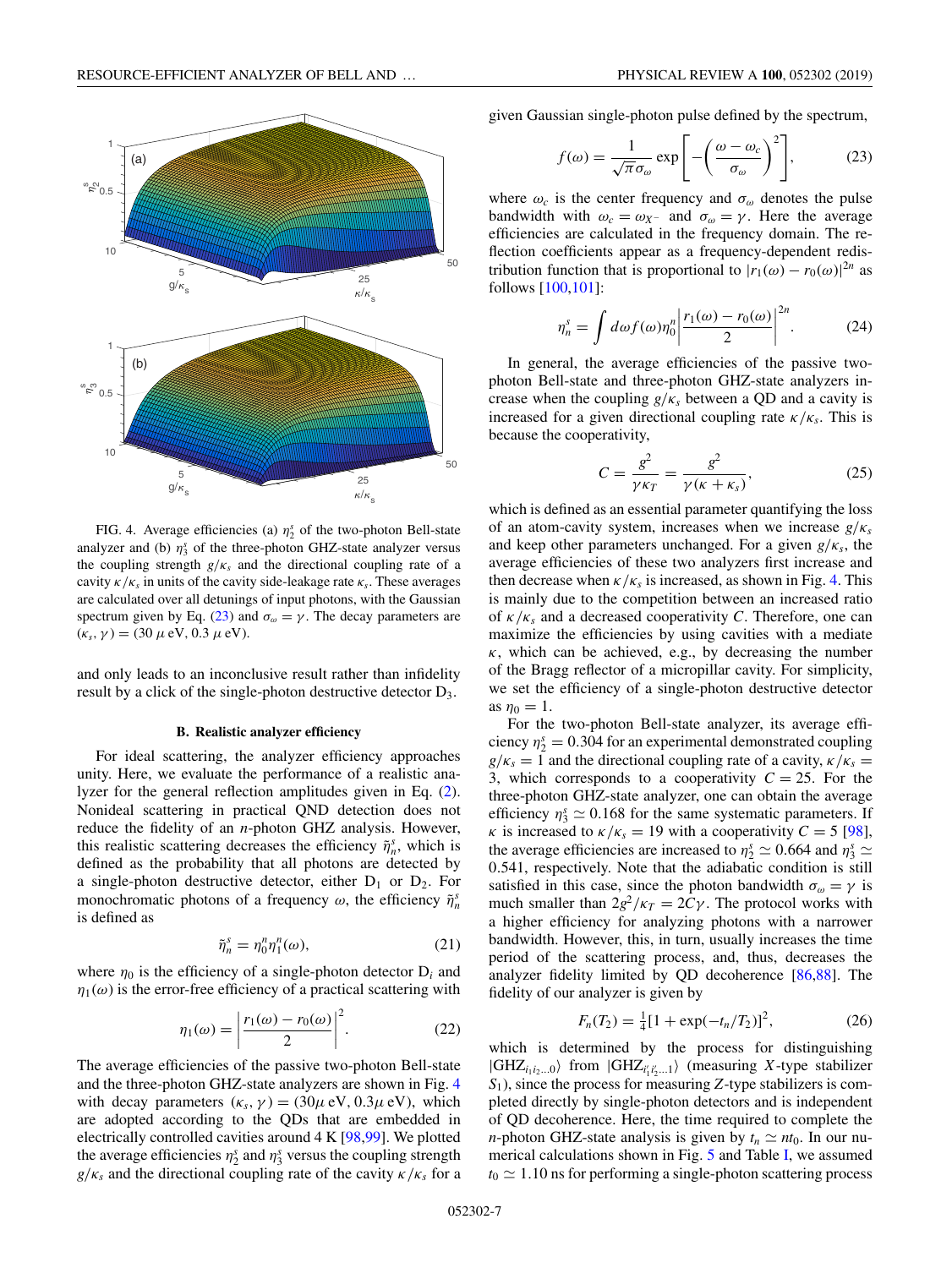<span id="page-6-0"></span>

FIG. 4. Average efficiencies (a)  $\eta_2^s$  of the two-photon Bell-state analyzer and (b)  $\eta_3^s$  of the three-photon GHZ-state analyzer versus the coupling strength  $g/\kappa_s$  and the directional coupling rate of a cavity  $\kappa/\kappa_s$  in units of the cavity side-leakage rate  $\kappa_s$ . These averages are calculated over all detunings of input photons, with the Gaussian spectrum given by Eq. (23) and  $\sigma_{\omega} = \gamma$ . The decay parameters are  $(\kappa_s, \gamma) = (30 \,\mu \text{ eV}, 0.3 \,\mu \text{ eV}).$ 

and only leads to an inconclusive result rather than infidelity result by a click of the single-photon destructive detector D3.

#### **B. Realistic analyzer efficiency**

For ideal scattering, the analyzer efficiency approaches unity. Here, we evaluate the performance of a realistic analyzer for the general reflection amplitudes given in Eq. [\(2\)](#page-2-0). Nonideal scattering in practical QND detection does not reduce the fidelity of an *n*-photon GHZ analysis. However, this realistic scattering decreases the efficiency  $\tilde{\eta}_n^s$ , which is defined as the probability that all photons are detected by a single-photon destructive detector, either  $D_1$  or  $D_2$ . For monochromatic photons of a frequency  $\omega$ , the efficiency  $\tilde{\eta}_n^s$ is defined as

$$
\tilde{\eta}_n^s = \eta_0^n \eta_1^n(\omega),\tag{21}
$$

where  $\eta_0$  is the efficiency of a single-photon detector  $D_i$  and  $\eta_1(\omega)$  is the error-free efficiency of a practical scattering with

$$
\eta_1(\omega) = \left| \frac{r_1(\omega) - r_0(\omega)}{2} \right|^2. \tag{22}
$$

The average efficiencies of the passive two-photon Bell-state and the three-photon GHZ-state analyzers are shown in Fig. 4 with decay parameters  $(\kappa_s, \gamma) = (30\mu \text{ eV}, 0.3\mu \text{ eV})$ , which are adopted according to the QDs that are embedded in electrically controlled cavities around 4 K [\[98,99\]](#page-12-0). We plotted the average efficiencies  $\eta_2^s$  and  $\eta_3^s$  versus the coupling strength  $g/\kappa_s$  and the directional coupling rate of the cavity  $\kappa/\kappa_s$  for a given Gaussian single-photon pulse defined by the spectrum,

$$
f(\omega) = \frac{1}{\sqrt{\pi}\sigma_{\omega}} \exp\left[-\left(\frac{\omega - \omega_c}{\sigma_{\omega}}\right)^2\right],\tag{23}
$$

where  $\omega_c$  is the center frequency and  $\sigma_\omega$  denotes the pulse bandwidth with  $\omega_c = \omega_{X}$  and  $\sigma_{\omega} = \gamma$ . Here the average efficiencies are calculated in the frequency domain. The reflection coefficients appear as a frequency-dependent redistribution function that is proportional to  $|r_1(\omega) - r_0(\omega)|^{2n}$  as follows [\[100,101\]](#page-12-0):

$$
\eta_n^s = \int d\omega f(\omega) \eta_0^n \left| \frac{r_1(\omega) - r_0(\omega)}{2} \right|^{2n} . \tag{24}
$$

In general, the average efficiencies of the passive twophoton Bell-state and three-photon GHZ-state analyzers increase when the coupling  $g/\kappa_s$  between a QD and a cavity is increased for a given directional coupling rate  $\kappa/\kappa_s$ . This is because the cooperativity,

$$
C = \frac{g^2}{\gamma \kappa_T} = \frac{g^2}{\gamma(\kappa + \kappa_s)},\tag{25}
$$

which is defined as an essential parameter quantifying the loss of an atom-cavity system, increases when we increase *g*/κ*<sup>s</sup>* and keep other parameters unchanged. For a given  $g/\kappa_s$ , the average efficiencies of these two analyzers first increase and then decrease when  $\kappa/\kappa_s$  is increased, as shown in Fig. 4. This is mainly due to the competition between an increased ratio of κ/κ*<sup>s</sup>* and a decreased cooperativity *C*. Therefore, one can maximize the efficiencies by using cavities with a mediate  $\kappa$ , which can be achieved, e.g., by decreasing the number of the Bragg reflector of a micropillar cavity. For simplicity, we set the efficiency of a single-photon destructive detector as  $\eta_0 = 1$ .

For the two-photon Bell-state analyzer, its average efficiency  $\eta_2^s = 0.304$  for an experimental demonstrated coupling  $g/\kappa_s = 1$  and the directional coupling rate of a cavity,  $\kappa/\kappa_s =$ 3, which corresponds to a cooperativity  $C = 25$ . For the three-photon GHZ-state analyzer, one can obtain the average efficiency  $\eta_3^s \simeq 0.168$  for the same systematic parameters. If *κ* is increased to  $\kappa/\kappa_s = 19$  with a cooperativity  $C = 5$  [\[98\]](#page-12-0), the average efficiencies are increased to  $\eta_2^s \simeq 0.664$  and  $\eta_3^s \simeq$ 0.541, respectively. Note that the adiabatic condition is still satisfied in this case, since the photon bandwidth  $\sigma_{\omega} = \gamma$  is much smaller than  $2g^2/\kappa_T = 2C\gamma$ . The protocol works with a higher efficiency for analyzing photons with a narrower bandwidth. However, this, in turn, usually increases the time period of the scattering process, and, thus, decreases the analyzer fidelity limited by QD decoherence [\[86,88\]](#page-12-0). The fidelity of our analyzer is given by

$$
F_n(T_2) = \frac{1}{4} [1 + \exp(-t_n/T_2)]^2, \tag{26}
$$

which is determined by the process for distinguishing  $|GHZ_{i_1i_2...0}\rangle$  from  $|GHZ_{i'_1i'_2...1}\rangle$  (measuring *X*-type stabilizer *S*1), since the process for measuring *Z*-type stabilizers is completed directly by single-photon detectors and is independent of QD decoherence. Here, the time required to complete the *n*-photon GHZ-state analysis is given by  $t_n \simeq nt_0$ . In our numerical calculations shown in Fig. [5](#page-7-0) and Table [I,](#page-7-0) we assumed  $t_0 \simeq 1.10$  ns for performing a single-photon scattering process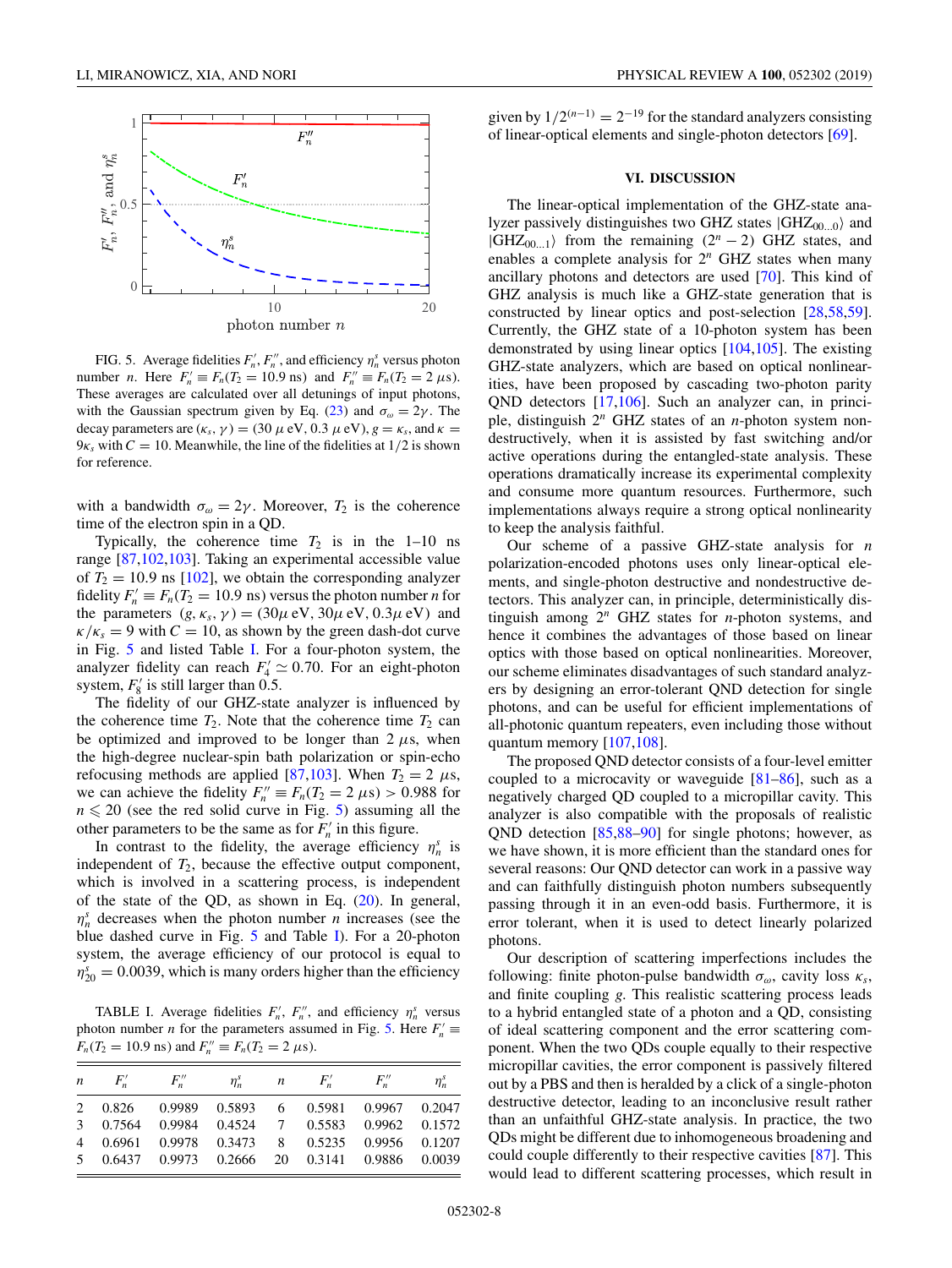<span id="page-7-0"></span>

FIG. 5. Average fidelities  $F'_n$ ,  $F''_n$ , and efficiency  $\eta^s_n$  versus photon number *n*. Here  $F'_n \equiv F_n(T_2 = 10.9 \text{ ns})$  and  $F''_n \equiv F_n(T_2 = 2 \mu \text{s})$ . These averages are calculated over all detunings of input photons, with the Gaussian spectrum given by Eq. [\(23\)](#page-6-0) and  $\sigma_{\omega} = 2\gamma$ . The decay parameters are  $(\kappa_s, \gamma) = (30 \mu \text{ eV}, 0.3 \mu \text{ eV})$ ,  $g = \kappa_s$ , and  $\kappa =$  $9\kappa_s$  with  $C = 10$ . Meanwhile, the line of the fidelities at  $1/2$  is shown for reference.

with a bandwidth  $\sigma_{\omega} = 2\gamma$ . Moreover,  $T_2$  is the coherence time of the electron spin in a QD.

Typically, the coherence time  $T_2$  is in the 1–10 ns range [\[87,102,103\]](#page-12-0). Taking an experimental accessible value of  $T_2 = 10.9$  ns [\[102\]](#page-12-0), we obtain the corresponding analyzer fidelity  $F'_n \equiv F_n(T_2 = 10.9 \text{ ns})$  versus the photon number *n* for the parameters  $(g, \kappa_s, \gamma) = (30\mu \text{ eV}, 30\mu \text{ eV}, 0.3\mu \text{ eV})$  and  $\kappa/\kappa_s = 9$  with  $C = 10$ , as shown by the green dash-dot curve in Fig. 5 and listed Table I. For a four-photon system, the analyzer fidelity can reach  $F_4' \simeq 0.70$ . For an eight-photon system,  $F_8'$  is still larger than 0.5.

The fidelity of our GHZ-state analyzer is influenced by the coherence time  $T_2$ . Note that the coherence time  $T_2$  can be optimized and improved to be longer than  $2 \mu s$ , when the high-degree nuclear-spin bath polarization or spin-echo refocusing methods are applied [\[87,103\]](#page-12-0). When  $T_2 = 2 \mu s$ , we can achieve the fidelity  $F_n'' \equiv F_n(T_2 = 2 \mu s) > 0.988$  for  $n \leq 20$  (see the red solid curve in Fig. 5) assuming all the other parameters to be the same as for  $F_n'$  in this figure.

In contrast to the fidelity, the average efficiency  $\eta_n^s$  is independent of  $T_2$ , because the effective output component, which is involved in a scattering process, is independent of the state of the QD, as shown in Eq.  $(20)$ . In general,  $\eta_n^s$  decreases when the photon number *n* increases (see the blue dashed curve in Fig. 5 and Table I). For a 20-photon system, the average efficiency of our protocol is equal to  $\eta_{20}^s = 0.0039$ , which is many orders higher than the efficiency

TABLE I. Average fidelities  $F'_n$ ,  $F''_n$ , and efficiency  $\eta^s_n$  versus photon number *n* for the parameters assumed in Fig. 5. Here  $F'_n \equiv$  $F_n(T_2 = 10.9 \text{ ns})$  and  $F_n'' \equiv F_n(T_2 = 2 \mu \text{s})$ .

| $\boldsymbol{n}$ | $F''$ $F''$                                    |  | $\eta_n^s$ n $F_n^{\prime}$ $F_n^{\prime\prime}$ | $\eta_n^s$ |
|------------------|------------------------------------------------|--|--------------------------------------------------|------------|
|                  | 2 0.826 0.9989 0.5893 6 0.5981 0.9967 0.2047   |  |                                                  |            |
|                  | 3 0.7564 0.9984 0.4524 7 0.5583 0.9962 0.1572  |  |                                                  |            |
|                  | 4 0.6961 0.9978 0.3473 8 0.5235 0.9956 0.1207  |  |                                                  |            |
|                  | 5 0.6437 0.9973 0.2666 20 0.3141 0.9886 0.0039 |  |                                                  |            |

given by  $1/2^{(n-1)} = 2^{-19}$  for the standard analyzers consisting of linear-optical elements and single-photon detectors [\[69\]](#page-11-0).

## **VI. DISCUSSION**

The linear-optical implementation of the GHZ-state analyzer passively distinguishes two GHZ states  $|GHZ_{00...0}\rangle$  and  $|GHZ_{00...1}\rangle$  from the remaining  $(2^n - 2)$  GHZ states, and enables a complete analysis for 2*<sup>n</sup>* GHZ states when many ancillary photons and detectors are used [\[70\]](#page-11-0). This kind of GHZ analysis is much like a GHZ-state generation that is constructed by linear optics and post-selection [\[28](#page-10-0)[,58,59\]](#page-11-0). Currently, the GHZ state of a 10-photon system has been demonstrated by using linear optics [\[104,105\]](#page-12-0). The existing GHZ-state analyzers, which are based on optical nonlinearities, have been proposed by cascading two-photon parity QND detectors [\[17,](#page-10-0)[106\]](#page-12-0). Such an analyzer can, in principle, distinguish 2*<sup>n</sup>* GHZ states of an *n*-photon system nondestructively, when it is assisted by fast switching and/or active operations during the entangled-state analysis. These operations dramatically increase its experimental complexity and consume more quantum resources. Furthermore, such implementations always require a strong optical nonlinearity to keep the analysis faithful.

Our scheme of a passive GHZ-state analysis for *n* polarization-encoded photons uses only linear-optical elements, and single-photon destructive and nondestructive detectors. This analyzer can, in principle, deterministically distinguish among 2*<sup>n</sup>* GHZ states for *n*-photon systems, and hence it combines the advantages of those based on linear optics with those based on optical nonlinearities. Moreover, our scheme eliminates disadvantages of such standard analyzers by designing an error-tolerant QND detection for single photons, and can be useful for efficient implementations of all-photonic quantum repeaters, even including those without quantum memory [\[107,108\]](#page-12-0).

The proposed QND detector consists of a four-level emitter coupled to a microcavity or waveguide [\[81–86\]](#page-12-0), such as a negatively charged QD coupled to a micropillar cavity. This analyzer is also compatible with the proposals of realistic QND detection [\[85,88–90\]](#page-12-0) for single photons; however, as we have shown, it is more efficient than the standard ones for several reasons: Our QND detector can work in a passive way and can faithfully distinguish photon numbers subsequently passing through it in an even-odd basis. Furthermore, it is error tolerant, when it is used to detect linearly polarized photons.

Our description of scattering imperfections includes the following: finite photon-pulse bandwidth  $\sigma_{\omega}$ , cavity loss  $\kappa_{s}$ , and finite coupling *g*. This realistic scattering process leads to a hybrid entangled state of a photon and a QD, consisting of ideal scattering component and the error scattering component. When the two QDs couple equally to their respective micropillar cavities, the error component is passively filtered out by a PBS and then is heralded by a click of a single-photon destructive detector, leading to an inconclusive result rather than an unfaithful GHZ-state analysis. In practice, the two QDs might be different due to inhomogeneous broadening and could couple differently to their respective cavities [\[87\]](#page-12-0). This would lead to different scattering processes, which result in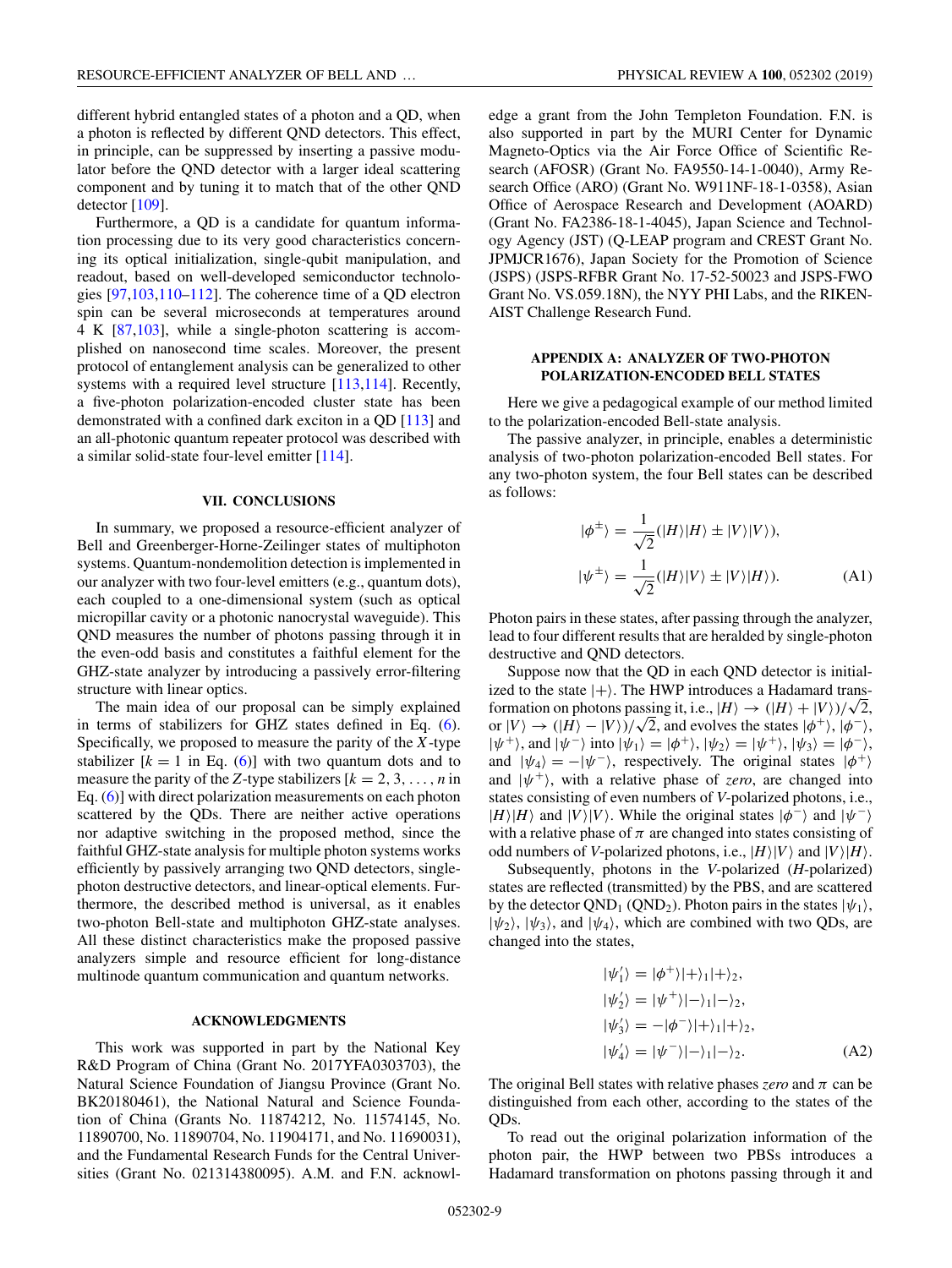<span id="page-8-0"></span>different hybrid entangled states of a photon and a QD, when a photon is reflected by different QND detectors. This effect, in principle, can be suppressed by inserting a passive modulator before the QND detector with a larger ideal scattering component and by tuning it to match that of the other QND detector [\[109\]](#page-13-0).

Furthermore, a QD is a candidate for quantum information processing due to its very good characteristics concerning its optical initialization, single-qubit manipulation, and readout, based on well-developed semiconductor technologies [\[97,103,](#page-12-0)[110–112\]](#page-13-0). The coherence time of a QD electron spin can be several microseconds at temperatures around 4K[\[87,103\]](#page-12-0), while a single-photon scattering is accomplished on nanosecond time scales. Moreover, the present protocol of entanglement analysis can be generalized to other systems with a required level structure [\[113,114\]](#page-13-0). Recently, a five-photon polarization-encoded cluster state has been demonstrated with a confined dark exciton in a QD [\[113\]](#page-13-0) and an all-photonic quantum repeater protocol was described with a similar solid-state four-level emitter [\[114\]](#page-13-0).

#### **VII. CONCLUSIONS**

In summary, we proposed a resource-efficient analyzer of Bell and Greenberger-Horne-Zeilinger states of multiphoton systems. Quantum-nondemolition detection is implemented in our analyzer with two four-level emitters (e.g., quantum dots), each coupled to a one-dimensional system (such as optical micropillar cavity or a photonic nanocrystal waveguide). This QND measures the number of photons passing through it in the even-odd basis and constitutes a faithful element for the GHZ-state analyzer by introducing a passively error-filtering structure with linear optics.

The main idea of our proposal can be simply explained in terms of stabilizers for GHZ states defined in Eq. [\(6\)](#page-3-0). Specifically, we proposed to measure the parity of the *X*-type stabilizer  $[k = 1$  in Eq. [\(6\)](#page-3-0)] with two quantum dots and to measure the parity of the *Z*-type stabilizers  $[k = 2, 3, \ldots, n]$  in Eq. [\(6\)](#page-3-0)] with direct polarization measurements on each photon scattered by the QDs. There are neither active operations nor adaptive switching in the proposed method, since the faithful GHZ-state analysis for multiple photon systems works efficiently by passively arranging two QND detectors, singlephoton destructive detectors, and linear-optical elements. Furthermore, the described method is universal, as it enables two-photon Bell-state and multiphoton GHZ-state analyses. All these distinct characteristics make the proposed passive analyzers simple and resource efficient for long-distance multinode quantum communication and quantum networks.

#### **ACKNOWLEDGMENTS**

This work was supported in part by the National Key R&D Program of China (Grant No. 2017YFA0303703), the Natural Science Foundation of Jiangsu Province (Grant No. BK20180461), the National Natural and Science Foundation of China (Grants No. 11874212, No. 11574145, No. 11890700, No. 11890704, No. 11904171, and No. 11690031), and the Fundamental Research Funds for the Central Universities (Grant No. 021314380095). A.M. and F.N. acknowledge a grant from the John Templeton Foundation. F.N. is also supported in part by the MURI Center for Dynamic Magneto-Optics via the Air Force Office of Scientific Research (AFOSR) (Grant No. FA9550-14-1-0040), Army Research Office (ARO) (Grant No. W911NF-18-1-0358), Asian Office of Aerospace Research and Development (AOARD) (Grant No. FA2386-18-1-4045), Japan Science and Technology Agency (JST) (Q-LEAP program and CREST Grant No. JPMJCR1676), Japan Society for the Promotion of Science (JSPS) (JSPS-RFBR Grant No. 17-52-50023 and JSPS-FWO Grant No. VS.059.18N), the NYY PHI Labs, and the RIKEN-AIST Challenge Research Fund.

## **APPENDIX A: ANALYZER OF TWO-PHOTON POLARIZATION-ENCODED BELL STATES**

Here we give a pedagogical example of our method limited to the polarization-encoded Bell-state analysis.

The passive analyzer, in principle, enables a deterministic analysis of two-photon polarization-encoded Bell states. For any two-photon system, the four Bell states can be described as follows:

$$
|\phi^{\pm}\rangle = \frac{1}{\sqrt{2}}(|H\rangle|H\rangle \pm |V\rangle|V\rangle),
$$
  

$$
|\psi^{\pm}\rangle = \frac{1}{\sqrt{2}}(|H\rangle|V\rangle \pm |V\rangle|H\rangle).
$$
 (A1)

Photon pairs in these states, after passing through the analyzer, lead to four different results that are heralded by single-photon destructive and QND detectors.

Suppose now that the QD in each QND detector is initialized to the state  $|+\rangle$ . The HWP introduces a Hadamard transized to the state  $|+\rangle$ . The HWP introduces a Hadamard trans-<br>formation on photons passing it, i.e.,  $|H\rangle \rightarrow (|H\rangle + |V\rangle)/\sqrt{2}$ , formation on photons passing it, i.e.,  $|H\rangle \rightarrow (|H\rangle + |V\rangle)/\sqrt{2}$ ,<br>or  $|V\rangle \rightarrow (|H\rangle - |V\rangle)/\sqrt{2}$ , and evolves the states  $|\phi^+\rangle, |\phi^-\rangle$ ,  $|\psi^{+}\rangle$ , and  $|\psi^{-}\rangle$  into  $|\psi_{1}\rangle = |\phi^{+}\rangle$ ,  $|\psi_{2}\rangle = |\psi^{+}\rangle$ ,  $|\psi_{3}\rangle = |\phi^{-}\rangle$ , and  $|\psi_4\rangle = -|\psi^-\rangle$ , respectively. The original states  $|\phi^+\rangle$ and  $|\psi^+\rangle$ , with a relative phase of *zero*, are changed into states consisting of even numbers of *V*-polarized photons, i.e.,  $|H\rangle|H\rangle$  and  $|V\rangle|V\rangle$ . While the original states  $|\phi^{-}\rangle$  and  $|\psi^{-}\rangle$ with a relative phase of  $\pi$  are changed into states consisting of odd numbers of *V*-polarized photons, i.e.,  $|H\rangle|V\rangle$  and  $|V\rangle|H\rangle$ .

Subsequently, photons in the *V*-polarized (*H*-polarized) states are reflected (transmitted) by the PBS, and are scattered by the detector QND<sub>1</sub> (QND<sub>2</sub>). Photon pairs in the states  $|\psi_1\rangle$ ,  $|\psi_2\rangle$ ,  $|\psi_3\rangle$ , and  $|\psi_4\rangle$ , which are combined with two QDs, are changed into the states,

$$
|\psi'_1\rangle = |\phi^+\rangle|+\rangle_1|+\rangle_2,
$$
  
\n
$$
|\psi'_2\rangle = |\psi^+\rangle|-\rangle_1|-\rangle_2,
$$
  
\n
$$
|\psi'_3\rangle = -|\phi^-\rangle|+\rangle_1|+\rangle_2,
$$
  
\n
$$
|\psi'_4\rangle = |\psi^-\rangle|-\rangle_1|-\rangle_2.
$$
 (A2)

The original Bell states with relative phases *zero* and  $\pi$  can be distinguished from each other, according to the states of the QDs.

To read out the original polarization information of the photon pair, the HWP between two PBSs introduces a Hadamard transformation on photons passing through it and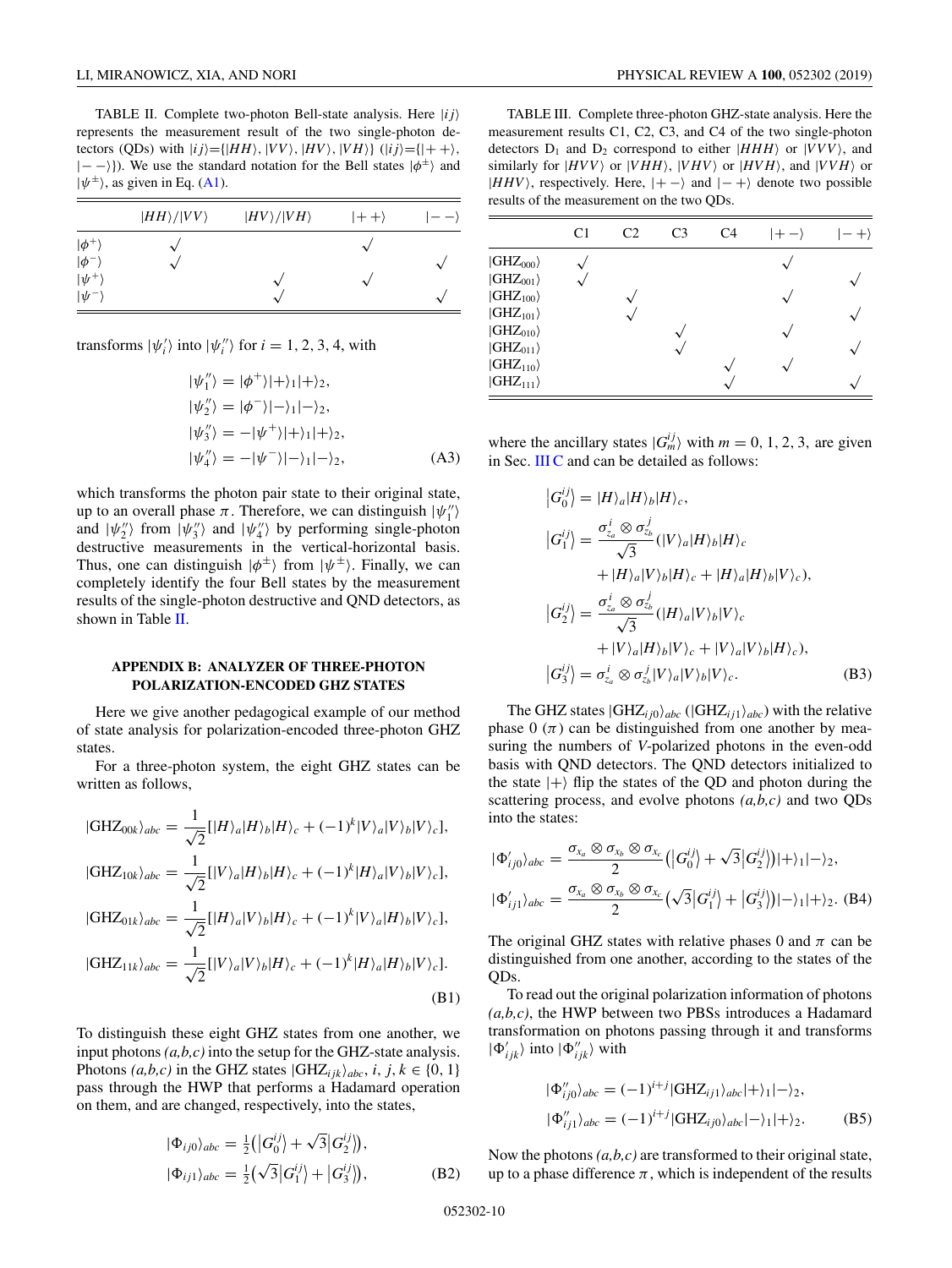<span id="page-9-0"></span>TABLE II. Complete two-photon Bell-state analysis. Here |*i j* represents the measurement result of the two single-photon detectors (QDs) with  $|i j \rangle = \{ | HH \rangle, |VV \rangle, |HV \rangle, |VH \rangle \}$  ( $|i j \rangle = \{ |++ \rangle,$  $|--\rangle$ ). We use the standard notation for the Bell states  $|\phi^{\pm}\rangle$  and  $|\psi^{\pm}\rangle$ , as given in Eq. [\(A1\)](#page-8-0).

|               | $ HH\rangle/ VV\rangle$ | $ HV\rangle/ VH\rangle$ | $ ++\rangle$ |        |
|---------------|-------------------------|-------------------------|--------------|--------|
| $ \phi^+$     |                         |                         |              |        |
| $ \phi^{-1} $ |                         |                         |              | ᄾ      |
| $ \psi^+$     |                         | ́                       |              |        |
| $ \psi^{-1}$  |                         | $\sim$                  |              | $\sim$ |

transforms  $|\psi'_i\rangle$  into  $|\psi''_i\rangle$  for  $i = 1, 2, 3, 4$ , with

$$
|\psi''_1\rangle = |\phi^+\rangle|+\rangle_1|+\rangle_2,
$$
  
\n
$$
|\psi''_2\rangle = |\phi^-\rangle|-\rangle_1|-\rangle_2,
$$
  
\n
$$
|\psi''_3\rangle = -|\psi^+\rangle|+\rangle_1|+\rangle_2,
$$
  
\n
$$
|\psi''_4\rangle = -|\psi^-\rangle|-\rangle_1|-\rangle_2,
$$
 (A3)

which transforms the photon pair state to their original state, up to an overall phase  $\pi$ . Therefore, we can distinguish  $|\psi''_1\rangle$ and  $|\psi_2''\rangle$  from  $|\psi_3''\rangle$  and  $|\psi_4''\rangle$  by performing single-photon destructive measurements in the vertical-horizontal basis. Thus, one can distinguish  $|\phi^{\pm}\rangle$  from  $|\psi^{\pm}\rangle$ . Finally, we can completely identify the four Bell states by the measurement results of the single-photon destructive and QND detectors, as shown in Table II.

## **APPENDIX B: ANALYZER OF THREE-PHOTON POLARIZATION-ENCODED GHZ STATES**

Here we give another pedagogical example of our method of state analysis for polarization-encoded three-photon GHZ states.

For a three-photon system, the eight GHZ states can be written as follows,

$$
|GHZ_{00k}\rangle_{abc} = \frac{1}{\sqrt{2}} [|H\rangle_a |H\rangle_b |H\rangle_c + (-1)^k |V\rangle_a |V\rangle_b |V\rangle_c],
$$
  
\n
$$
|GHZ_{10k}\rangle_{abc} = \frac{1}{\sqrt{2}} [|V\rangle_a |H\rangle_b |H\rangle_c + (-1)^k |H\rangle_a |V\rangle_b |V\rangle_c],
$$
  
\n
$$
|GHZ_{01k}\rangle_{abc} = \frac{1}{\sqrt{2}} [|H\rangle_a |V\rangle_b |H\rangle_c + (-1)^k |V\rangle_a |H\rangle_b |V\rangle_c],
$$
  
\n
$$
1
$$

$$
|GHZ_{11k}\rangle_{abc} = \frac{1}{\sqrt{2}} [|V\rangle_a |V\rangle_b |H\rangle_c + (-1)^k |H\rangle_a |H\rangle_b |V\rangle_c].
$$
\n(B1)

To distinguish these eight GHZ states from one another, we input photons *(a,b,c)* into the setup for the GHZ-state analysis. Photons  $(a,b,c)$  in the GHZ states  $|GHZ_{ijk}\rangle_{abc}$ , *i*, *j*,  $k \in \{0, 1\}$ pass through the HWP that performs a Hadamard operation on them, and are changed, respectively, into the states,

$$
\begin{aligned} |\Phi_{ij0}\rangle_{abc} &= \frac{1}{2} \left( |G_0^{ij}\rangle + \sqrt{3} |G_2^{ij}\rangle \right), \\ |\Phi_{ij1}\rangle_{abc} &= \frac{1}{2} \left( \sqrt{3} |G_1^{ij}\rangle + |G_3^{ij}\rangle \right), \end{aligned} \tag{B2}
$$

TABLE III. Complete three-photon GHZ-state analysis. Here the measurement results C1, C2, C3, and C4 of the two single-photon detectors  $D_1$  and  $D_2$  correspond to either  $|HHH\rangle$  or  $|VVV\rangle$ , and similarly for  $|HVV\rangle$  or  $|VHH\rangle$ ,  $|VHV\rangle$  or  $|HVH\rangle$ , and  $|VVH\rangle$  or  $|HHV\rangle$ , respectively. Here,  $|+-\rangle$  and  $|-+\rangle$  denote two possible results of the measurement on the two QDs.

|                                                                                                                                                                                      | C <sub>1</sub> | C <sub>2</sub> | C <sub>3</sub> | C <sub>4</sub> | $ +-\rangle$ | - +) |
|--------------------------------------------------------------------------------------------------------------------------------------------------------------------------------------|----------------|----------------|----------------|----------------|--------------|------|
| $ GHZ_{000}\rangle$<br>$ GHZ_{001}\rangle$<br>$ GHZ_{100}\rangle$<br>$ GHZ_{101}\rangle$<br>$ GHZ_{010}\rangle$<br>$ GHZ_{011}\rangle$<br>$ GHZ_{110}\rangle$<br>$ GHZ_{111}\rangle$ |                |                |                |                |              |      |

where the ancillary states  $|G_m^{ij}\rangle$  with  $m = 0, 1, 2, 3$ , are given in Sec. [III C](#page-3-0) and can be detailed as follows:

$$
\begin{aligned}\n\left|G_{0}^{ij}\right\rangle &= |H\rangle_{a}|H\rangle_{b}|H\rangle_{c}, \\
\left|G_{1}^{ij}\right\rangle &= \frac{\sigma_{z_{a}}^{i} \otimes \sigma_{z_{b}}^{j}}{\sqrt{3}}(|V\rangle_{a}|H\rangle_{b}|H\rangle_{c} \\
&+ |H\rangle_{a}|V\rangle_{b}|H\rangle_{c} + |H\rangle_{a}|H\rangle_{b}|V\rangle_{c}), \\
\left|G_{2}^{ij}\right\rangle &= \frac{\sigma_{z_{a}}^{i} \otimes \sigma_{z_{b}}^{j}}{\sqrt{3}}(|H\rangle_{a}|V\rangle_{b}|V\rangle_{c} \\
&+ |V\rangle_{a}|H\rangle_{b}|V\rangle_{c} + |V\rangle_{a}|V\rangle_{b}|H\rangle_{c}), \\
\left|G_{3}^{ij}\right\rangle &= \sigma_{z_{a}}^{i} \otimes \sigma_{z_{b}}^{j}|V\rangle_{a}|V\rangle_{b}|V\rangle_{c}.\n\end{aligned} \tag{B3}
$$

The GHZ states  $|GHZ_{ij0}\rangle_{abc}$  ( $|GHZ_{ij1}\rangle_{abc}$ ) with the relative phase  $0(\pi)$  can be distinguished from one another by measuring the numbers of *V*-polarized photons in the even-odd basis with QND detectors. The QND detectors initialized to the state  $|+\rangle$  flip the states of the QD and photon during the scattering process, and evolve photons *(a,b,c)* and two QDs into the states:

$$
|\Phi'_{ij0}\rangle_{abc} = \frac{\sigma_{x_a} \otimes \sigma_{x_b} \otimes \sigma_{x_c}}{2} (|G_0^{ij}\rangle + \sqrt{3}|G_2^{ij}\rangle)|+\rangle_1|-\rangle_2,
$$
  

$$
|\Phi'_{ij1}\rangle_{abc} = \frac{\sigma_{x_a} \otimes \sigma_{x_b} \otimes \sigma_{x_c}}{2} (\sqrt{3}|G_1^{ij}\rangle + |G_3^{ij}\rangle)|-\rangle_1|+\rangle_2.
$$
 (B4)

The original GHZ states with relative phases 0 and  $\pi$  can be distinguished from one another, according to the states of the QDs.

To read out the original polarization information of photons *(a,b,c)*, the HWP between two PBSs introduces a Hadamard transformation on photons passing through it and transforms  $|\Phi'_{ijk}\rangle$  into  $|\Phi''_{ijk}\rangle$  with

$$
|\Phi_{ij0}''\rangle_{abc} = (-1)^{i+j}|\text{GHZ}_{ij1}\rangle_{abc}|+\rangle_1|-\rangle_2,
$$
  

$$
|\Phi_{ij1}''\rangle_{abc} = (-1)^{i+j}|\text{GHZ}_{ij0}\rangle_{abc}|-\rangle_1|+\rangle_2.
$$
 (B5)

Now the photons *(a,b,c)* are transformed to their original state, up to a phase difference  $\pi$ , which is independent of the results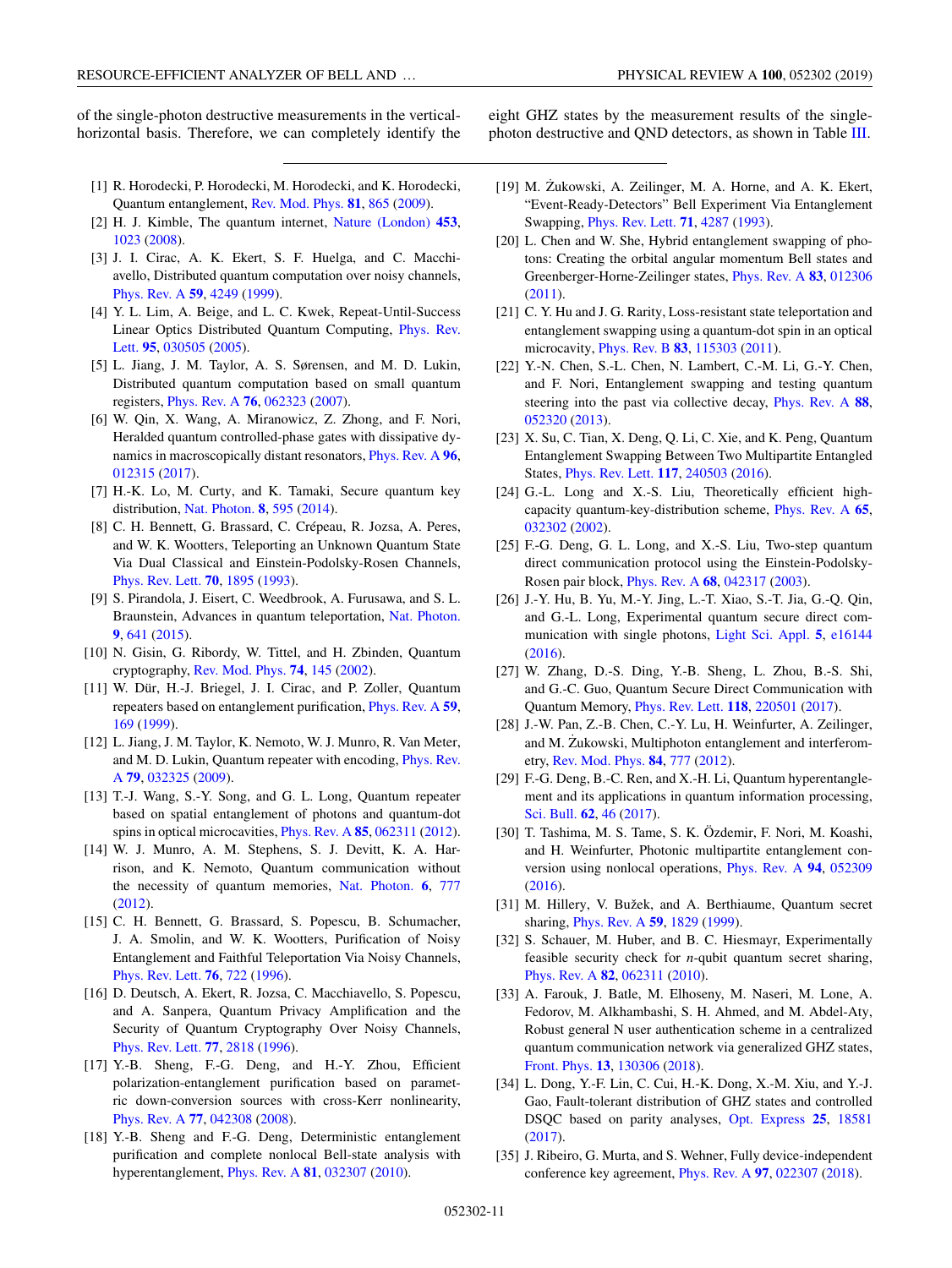<span id="page-10-0"></span>of the single-photon destructive measurements in the verticalhorizontal basis. Therefore, we can completely identify the eight GHZ states by the measurement results of the singlephoton destructive and QND detectors, as shown in Table [III.](#page-9-0)

- [1] R. Horodecki, P. Horodecki, M. Horodecki, and K. Horodecki, Quantum entanglement, [Rev. Mod. Phys.](https://doi.org/10.1103/RevModPhys.81.865) **[81](https://doi.org/10.1103/RevModPhys.81.865)**, [865](https://doi.org/10.1103/RevModPhys.81.865) [\(2009\)](https://doi.org/10.1103/RevModPhys.81.865).
- [2] H. J. Kimble, The quantum internet, [Nature \(London\)](https://doi.org/10.1038/nature07127) **[453](https://doi.org/10.1038/nature07127)**, [1023](https://doi.org/10.1038/nature07127) [\(2008\)](https://doi.org/10.1038/nature07127).
- [3] J. I. Cirac, A. K. Ekert, S. F. Huelga, and C. Macchiavello, Distributed quantum computation over noisy channels, [Phys. Rev. A](https://doi.org/10.1103/PhysRevA.59.4249) **[59](https://doi.org/10.1103/PhysRevA.59.4249)**, [4249](https://doi.org/10.1103/PhysRevA.59.4249) [\(1999\)](https://doi.org/10.1103/PhysRevA.59.4249).
- [4] Y. L. Lim, A. Beige, and L. C. Kwek, Repeat-Until-Success [Linear Optics Distributed Quantum Computing,](https://doi.org/10.1103/PhysRevLett.95.030505) Phys. Rev. Lett. **[95](https://doi.org/10.1103/PhysRevLett.95.030505)**, [030505](https://doi.org/10.1103/PhysRevLett.95.030505) [\(2005\)](https://doi.org/10.1103/PhysRevLett.95.030505).
- [5] L. Jiang, J. M. Taylor, A. S. Sørensen, and M. D. Lukin, Distributed quantum computation based on small quantum registers, [Phys. Rev. A](https://doi.org/10.1103/PhysRevA.76.062323) **[76](https://doi.org/10.1103/PhysRevA.76.062323)**, [062323](https://doi.org/10.1103/PhysRevA.76.062323) [\(2007\)](https://doi.org/10.1103/PhysRevA.76.062323).
- [6] W. Qin, X. Wang, A. Miranowicz, Z. Zhong, and F. Nori, Heralded quantum controlled-phase gates with dissipative dynamics in macroscopically distant resonators, [Phys. Rev. A](https://doi.org/10.1103/PhysRevA.96.012315) **[96](https://doi.org/10.1103/PhysRevA.96.012315)**, [012315](https://doi.org/10.1103/PhysRevA.96.012315) [\(2017\)](https://doi.org/10.1103/PhysRevA.96.012315).
- [7] H.-K. Lo, M. Curty, and K. Tamaki, Secure quantum key distribution, [Nat. Photon.](https://doi.org/10.1038/nphoton.2014.149) **[8](https://doi.org/10.1038/nphoton.2014.149)**, [595](https://doi.org/10.1038/nphoton.2014.149) [\(2014\)](https://doi.org/10.1038/nphoton.2014.149).
- [8] C. H. Bennett, G. Brassard, C. Crépeau, R. Jozsa, A. Peres, and W. K. Wootters, Teleporting an Unknown Quantum State Via Dual Classical and Einstein-Podolsky-Rosen Channels, [Phys. Rev. Lett.](https://doi.org/10.1103/PhysRevLett.70.1895) **[70](https://doi.org/10.1103/PhysRevLett.70.1895)**, [1895](https://doi.org/10.1103/PhysRevLett.70.1895) [\(1993\)](https://doi.org/10.1103/PhysRevLett.70.1895).
- [9] S. Pirandola, J. Eisert, C. Weedbrook, A. Furusawa, and S. L. Braunstein, Advances in quantum teleportation, [Nat. Photon.](https://doi.org/10.1038/nphoton.2015.154) **[9](https://doi.org/10.1038/nphoton.2015.154)**, [641](https://doi.org/10.1038/nphoton.2015.154) [\(2015\)](https://doi.org/10.1038/nphoton.2015.154).
- [10] N. Gisin, G. Ribordy, W. Tittel, and H. Zbinden, Quantum cryptography, [Rev. Mod. Phys.](https://doi.org/10.1103/RevModPhys.74.145) **[74](https://doi.org/10.1103/RevModPhys.74.145)**, [145](https://doi.org/10.1103/RevModPhys.74.145) [\(2002\)](https://doi.org/10.1103/RevModPhys.74.145).
- [11] W. Dür, H.-J. Briegel, J. I. Cirac, and P. Zoller, Quantum repeaters based on entanglement purification, [Phys. Rev. A](https://doi.org/10.1103/PhysRevA.59.169) **[59](https://doi.org/10.1103/PhysRevA.59.169)**, [169](https://doi.org/10.1103/PhysRevA.59.169) [\(1999\)](https://doi.org/10.1103/PhysRevA.59.169).
- [12] L. Jiang, J. M. Taylor, K. Nemoto, W. J. Munro, R. Van Meter, [and M. D. Lukin, Quantum repeater with encoding,](https://doi.org/10.1103/PhysRevA.79.032325) Phys. Rev. A **[79](https://doi.org/10.1103/PhysRevA.79.032325)**, [032325](https://doi.org/10.1103/PhysRevA.79.032325) [\(2009\)](https://doi.org/10.1103/PhysRevA.79.032325).
- [13] T.-J. Wang, S.-Y. Song, and G. L. Long, Quantum repeater based on spatial entanglement of photons and quantum-dot spins in optical microcavities, [Phys. Rev. A](https://doi.org/10.1103/PhysRevA.85.062311) **[85](https://doi.org/10.1103/PhysRevA.85.062311)**, [062311](https://doi.org/10.1103/PhysRevA.85.062311) [\(2012\)](https://doi.org/10.1103/PhysRevA.85.062311).
- [14] W. J. Munro, A. M. Stephens, S. J. Devitt, K. A. Harrison, and K. Nemoto, Quantum communication without the necessity of quantum memories, [Nat. Photon.](https://doi.org/10.1038/nphoton.2012.243) **[6](https://doi.org/10.1038/nphoton.2012.243)**, [777](https://doi.org/10.1038/nphoton.2012.243) [\(2012\)](https://doi.org/10.1038/nphoton.2012.243).
- [15] C. H. Bennett, G. Brassard, S. Popescu, B. Schumacher, J. A. Smolin, and W. K. Wootters, Purification of Noisy Entanglement and Faithful Teleportation Via Noisy Channels, [Phys. Rev. Lett.](https://doi.org/10.1103/PhysRevLett.76.722) **[76](https://doi.org/10.1103/PhysRevLett.76.722)**, [722](https://doi.org/10.1103/PhysRevLett.76.722) [\(1996\)](https://doi.org/10.1103/PhysRevLett.76.722).
- [16] D. Deutsch, A. Ekert, R. Jozsa, C. Macchiavello, S. Popescu, and A. Sanpera, Quantum Privacy Amplification and the Security of Quantum Cryptography Over Noisy Channels, [Phys. Rev. Lett.](https://doi.org/10.1103/PhysRevLett.77.2818) **[77](https://doi.org/10.1103/PhysRevLett.77.2818)**, [2818](https://doi.org/10.1103/PhysRevLett.77.2818) [\(1996\)](https://doi.org/10.1103/PhysRevLett.77.2818).
- [17] Y.-B. Sheng, F.-G. Deng, and H.-Y. Zhou, Efficient polarization-entanglement purification based on parametric down-conversion sources with cross-Kerr nonlinearity, [Phys. Rev. A](https://doi.org/10.1103/PhysRevA.77.042308) **[77](https://doi.org/10.1103/PhysRevA.77.042308)**, [042308](https://doi.org/10.1103/PhysRevA.77.042308) [\(2008\)](https://doi.org/10.1103/PhysRevA.77.042308).
- [18] Y.-B. Sheng and F.-G. Deng, Deterministic entanglement purification and complete nonlocal Bell-state analysis with hyperentanglement, [Phys. Rev. A](https://doi.org/10.1103/PhysRevA.81.032307) **[81](https://doi.org/10.1103/PhysRevA.81.032307)**, [032307](https://doi.org/10.1103/PhysRevA.81.032307) [\(2010\)](https://doi.org/10.1103/PhysRevA.81.032307).
- [19] M. Żukowski, A. Zeilinger, M. A. Horne, and A. K. Ekert, "Event-Ready-Detectors" Bell Experiment Via Entanglement Swapping, [Phys. Rev. Lett.](https://doi.org/10.1103/PhysRevLett.71.4287) **[71](https://doi.org/10.1103/PhysRevLett.71.4287)**, [4287](https://doi.org/10.1103/PhysRevLett.71.4287) [\(1993\)](https://doi.org/10.1103/PhysRevLett.71.4287).
- [20] L. Chen and W. She, Hybrid entanglement swapping of photons: Creating the orbital angular momentum Bell states and Greenberger-Horne-Zeilinger states, [Phys. Rev. A](https://doi.org/10.1103/PhysRevA.83.012306) **[83](https://doi.org/10.1103/PhysRevA.83.012306)**, [012306](https://doi.org/10.1103/PhysRevA.83.012306) [\(2011\)](https://doi.org/10.1103/PhysRevA.83.012306).
- [21] C. Y. Hu and J. G. Rarity, Loss-resistant state teleportation and entanglement swapping using a quantum-dot spin in an optical microcavity, [Phys. Rev. B](https://doi.org/10.1103/PhysRevB.83.115303) **[83](https://doi.org/10.1103/PhysRevB.83.115303)**, [115303](https://doi.org/10.1103/PhysRevB.83.115303) [\(2011\)](https://doi.org/10.1103/PhysRevB.83.115303).
- [22] Y.-N. Chen, S.-L. Chen, N. Lambert, C.-M. Li, G.-Y. Chen, and F. Nori, Entanglement swapping and testing quantum steering into the past via collective decay, [Phys. Rev. A](https://doi.org/10.1103/PhysRevA.88.052320) **[88](https://doi.org/10.1103/PhysRevA.88.052320)**, [052320](https://doi.org/10.1103/PhysRevA.88.052320) [\(2013\)](https://doi.org/10.1103/PhysRevA.88.052320).
- [23] X. Su, C. Tian, X. Deng, Q. Li, C. Xie, and K. Peng, Quantum Entanglement Swapping Between Two Multipartite Entangled States, [Phys. Rev. Lett.](https://doi.org/10.1103/PhysRevLett.117.240503) **[117](https://doi.org/10.1103/PhysRevLett.117.240503)**, [240503](https://doi.org/10.1103/PhysRevLett.117.240503) [\(2016\)](https://doi.org/10.1103/PhysRevLett.117.240503).
- [24] G.-L. Long and X.-S. Liu, Theoretically efficient highcapacity quantum-key-distribution scheme, [Phys. Rev. A](https://doi.org/10.1103/PhysRevA.65.032302) **[65](https://doi.org/10.1103/PhysRevA.65.032302)**, [032302](https://doi.org/10.1103/PhysRevA.65.032302) [\(2002\)](https://doi.org/10.1103/PhysRevA.65.032302).
- [25] F.-G. Deng, G. L. Long, and X.-S. Liu, Two-step quantum direct communication protocol using the Einstein-Podolsky-Rosen pair block, [Phys. Rev. A](https://doi.org/10.1103/PhysRevA.68.042317) **[68](https://doi.org/10.1103/PhysRevA.68.042317)**, [042317](https://doi.org/10.1103/PhysRevA.68.042317) [\(2003\)](https://doi.org/10.1103/PhysRevA.68.042317).
- [26] J.-Y. Hu, B. Yu, M.-Y. Jing, L.-T. Xiao, S.-T. Jia, G.-Q. Qin, and G.-L. Long, Experimental quantum secure direct communication with single photons, [Light Sci. Appl.](https://doi.org/10.1038/lsa.2016.144) **[5](https://doi.org/10.1038/lsa.2016.144)**, [e16144](https://doi.org/10.1038/lsa.2016.144) [\(2016\)](https://doi.org/10.1038/lsa.2016.144).
- [27] W. Zhang, D.-S. Ding, Y.-B. Sheng, L. Zhou, B.-S. Shi, and G.-C. Guo, Quantum Secure Direct Communication with Quantum Memory, [Phys. Rev. Lett.](https://doi.org/10.1103/PhysRevLett.118.220501) **[118](https://doi.org/10.1103/PhysRevLett.118.220501)**, [220501](https://doi.org/10.1103/PhysRevLett.118.220501) [\(2017\)](https://doi.org/10.1103/PhysRevLett.118.220501).
- [28] J.-W. Pan, Z.-B. Chen, C.-Y. Lu, H. Weinfurter, A. Zeilinger, and M. Zukowski, Multiphoton entanglement and interferometry, [Rev. Mod. Phys.](https://doi.org/10.1103/RevModPhys.84.777) **[84](https://doi.org/10.1103/RevModPhys.84.777)**, [777](https://doi.org/10.1103/RevModPhys.84.777) [\(2012\)](https://doi.org/10.1103/RevModPhys.84.777).
- [29] F.-G. Deng, B.-C. Ren, and X.-H. Li, Quantum hyperentanglement and its applications in quantum information processing, [Sci. Bull.](https://doi.org/10.1016/j.scib.2016.11.007) **[62](https://doi.org/10.1016/j.scib.2016.11.007)**, [46](https://doi.org/10.1016/j.scib.2016.11.007) [\(2017\)](https://doi.org/10.1016/j.scib.2016.11.007).
- [30] T. Tashima, M. S. Tame, S. K. Özdemir, F. Nori, M. Koashi, and H. Weinfurter, Photonic multipartite entanglement conversion using nonlocal operations, [Phys. Rev. A](https://doi.org/10.1103/PhysRevA.94.052309) **[94](https://doi.org/10.1103/PhysRevA.94.052309)**, [052309](https://doi.org/10.1103/PhysRevA.94.052309) [\(2016\)](https://doi.org/10.1103/PhysRevA.94.052309).
- [31] M. Hillery, V. Bužek, and A. Berthiaume, Quantum secret sharing, [Phys. Rev. A](https://doi.org/10.1103/PhysRevA.59.1829) **[59](https://doi.org/10.1103/PhysRevA.59.1829)**, [1829](https://doi.org/10.1103/PhysRevA.59.1829) [\(1999\)](https://doi.org/10.1103/PhysRevA.59.1829).
- [32] S. Schauer, M. Huber, and B. C. Hiesmayr, Experimentally feasible security check for *n*-qubit quantum secret sharing, [Phys. Rev. A](https://doi.org/10.1103/PhysRevA.82.062311) **[82](https://doi.org/10.1103/PhysRevA.82.062311)**, [062311](https://doi.org/10.1103/PhysRevA.82.062311) [\(2010\)](https://doi.org/10.1103/PhysRevA.82.062311).
- [33] A. Farouk, J. Batle, M. Elhoseny, M. Naseri, M. Lone, A. Fedorov, M. Alkhambashi, S. H. Ahmed, and M. Abdel-Aty, Robust general N user authentication scheme in a centralized quantum communication network via generalized GHZ states, [Front. Phys.](https://doi.org/10.1007/s11467-017-0717-3) **[13](https://doi.org/10.1007/s11467-017-0717-3)**, [130306](https://doi.org/10.1007/s11467-017-0717-3) [\(2018\)](https://doi.org/10.1007/s11467-017-0717-3).
- [34] L. Dong, Y.-F. Lin, C. Cui, H.-K. Dong, X.-M. Xiu, and Y.-J. Gao, Fault-tolerant distribution of GHZ states and controlled DSQC based on parity analyses, [Opt. Express](https://doi.org/10.1364/OE.25.018581) **[25](https://doi.org/10.1364/OE.25.018581)**, [18581](https://doi.org/10.1364/OE.25.018581) [\(2017\)](https://doi.org/10.1364/OE.25.018581).
- [35] J. Ribeiro, G. Murta, and S. Wehner, Fully device-independent conference key agreement, [Phys. Rev. A](https://doi.org/10.1103/PhysRevA.97.022307) **[97](https://doi.org/10.1103/PhysRevA.97.022307)**, [022307](https://doi.org/10.1103/PhysRevA.97.022307) [\(2018\)](https://doi.org/10.1103/PhysRevA.97.022307).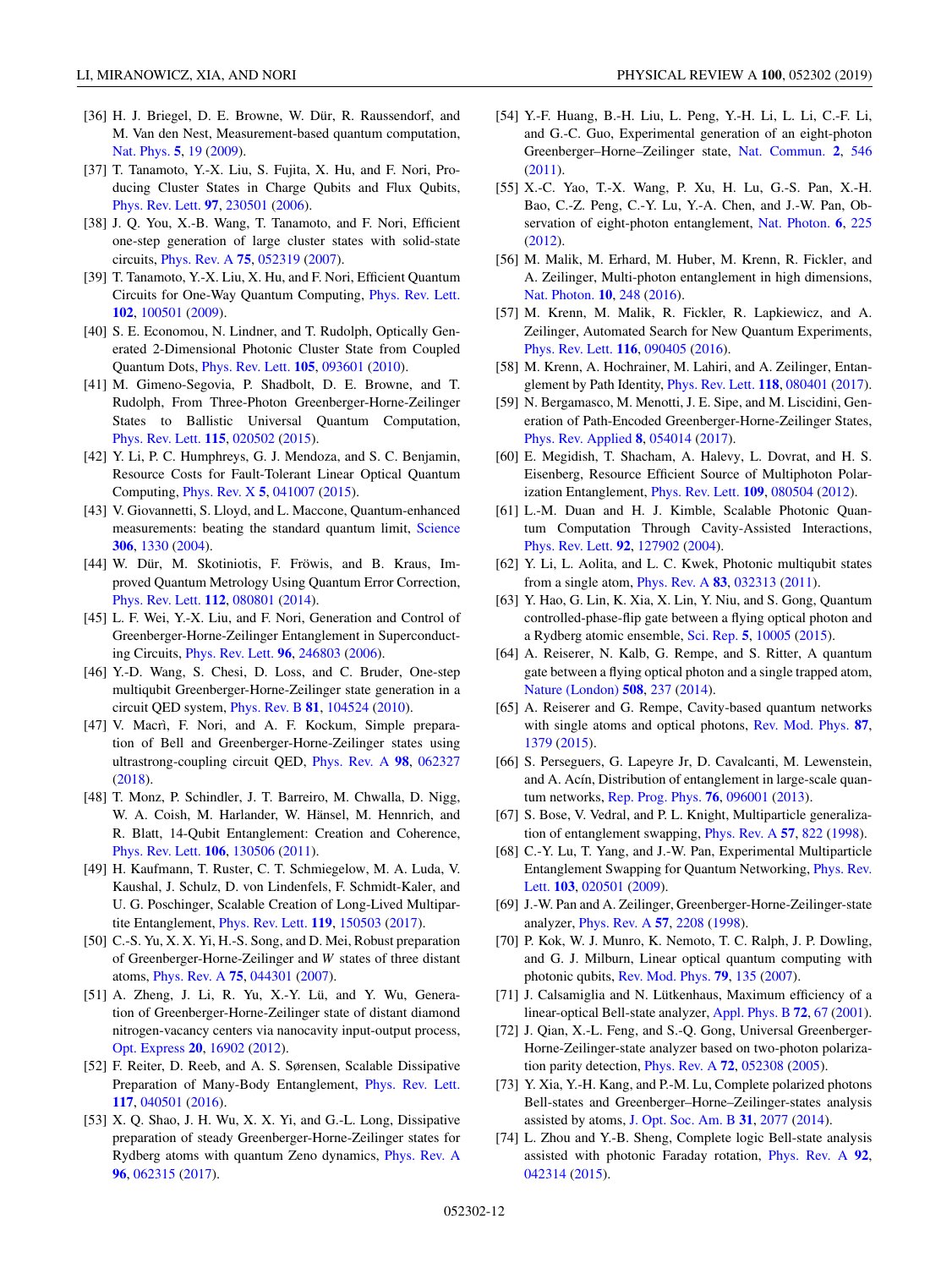- [36] H. J. Briegel, D. E. Browne, W. Dür, R. Raussendorf, and
- <span id="page-11-0"></span>LI, MIRANOWICZ, XIA, AND NORI PHYSICAL REVIEW A **100**, 052302 (2019)
- M. Van den Nest, Measurement-based quantum computation, [Nat. Phys.](https://doi.org/10.1038/nphys1157) **[5](https://doi.org/10.1038/nphys1157)**, [19](https://doi.org/10.1038/nphys1157) [\(2009\)](https://doi.org/10.1038/nphys1157).
- [37] T. Tanamoto, Y.-X. Liu, S. Fujita, X. Hu, and F. Nori, Producing Cluster States in Charge Qubits and Flux Qubits, [Phys. Rev. Lett.](https://doi.org/10.1103/PhysRevLett.97.230501) **[97](https://doi.org/10.1103/PhysRevLett.97.230501)**, [230501](https://doi.org/10.1103/PhysRevLett.97.230501) [\(2006\)](https://doi.org/10.1103/PhysRevLett.97.230501).
- [38] J. Q. You, X.-B. Wang, T. Tanamoto, and F. Nori, Efficient one-step generation of large cluster states with solid-state circuits, [Phys. Rev. A](https://doi.org/10.1103/PhysRevA.75.052319) **[75](https://doi.org/10.1103/PhysRevA.75.052319)**, [052319](https://doi.org/10.1103/PhysRevA.75.052319) [\(2007\)](https://doi.org/10.1103/PhysRevA.75.052319).
- [39] T. Tanamoto, Y.-X. Liu, X. Hu, and F. Nori, Efficient Quantum Circuits for One-Way Quantum Computing, [Phys. Rev. Lett.](https://doi.org/10.1103/PhysRevLett.102.100501) **[102](https://doi.org/10.1103/PhysRevLett.102.100501)**, [100501](https://doi.org/10.1103/PhysRevLett.102.100501) [\(2009\)](https://doi.org/10.1103/PhysRevLett.102.100501).
- [40] S. E. Economou, N. Lindner, and T. Rudolph, Optically Generated 2-Dimensional Photonic Cluster State from Coupled Quantum Dots, [Phys. Rev. Lett.](https://doi.org/10.1103/PhysRevLett.105.093601) **[105](https://doi.org/10.1103/PhysRevLett.105.093601)**, [093601](https://doi.org/10.1103/PhysRevLett.105.093601) [\(2010\)](https://doi.org/10.1103/PhysRevLett.105.093601).
- [41] M. Gimeno-Segovia, P. Shadbolt, D. E. Browne, and T. Rudolph, From Three-Photon Greenberger-Horne-Zeilinger States to Ballistic Universal Quantum Computation, [Phys. Rev. Lett.](https://doi.org/10.1103/PhysRevLett.115.020502) **[115](https://doi.org/10.1103/PhysRevLett.115.020502)**, [020502](https://doi.org/10.1103/PhysRevLett.115.020502) [\(2015\)](https://doi.org/10.1103/PhysRevLett.115.020502).
- [42] Y. Li, P. C. Humphreys, G. J. Mendoza, and S. C. Benjamin, Resource Costs for Fault-Tolerant Linear Optical Quantum Computing, [Phys. Rev. X](https://doi.org/10.1103/PhysRevX.5.041007) **[5](https://doi.org/10.1103/PhysRevX.5.041007)**, [041007](https://doi.org/10.1103/PhysRevX.5.041007) [\(2015\)](https://doi.org/10.1103/PhysRevX.5.041007).
- [43] V. Giovannetti, S. Lloyd, and L. Maccone, Quantum-enhanced measurements: beating the standard quantum limit, [Science](https://doi.org/10.1126/science.1104149) **[306](https://doi.org/10.1126/science.1104149)**, [1330](https://doi.org/10.1126/science.1104149) [\(2004\)](https://doi.org/10.1126/science.1104149).
- [44] W. Dür, M. Skotiniotis, F. Fröwis, and B. Kraus, Improved Quantum Metrology Using Quantum Error Correction, [Phys. Rev. Lett.](https://doi.org/10.1103/PhysRevLett.112.080801) **[112](https://doi.org/10.1103/PhysRevLett.112.080801)**, [080801](https://doi.org/10.1103/PhysRevLett.112.080801) [\(2014\)](https://doi.org/10.1103/PhysRevLett.112.080801).
- [45] L. F. Wei, Y.-X. Liu, and F. Nori, Generation and Control of Greenberger-Horne-Zeilinger Entanglement in Superconducting Circuits, [Phys. Rev. Lett.](https://doi.org/10.1103/PhysRevLett.96.246803) **[96](https://doi.org/10.1103/PhysRevLett.96.246803)**, [246803](https://doi.org/10.1103/PhysRevLett.96.246803) [\(2006\)](https://doi.org/10.1103/PhysRevLett.96.246803).
- [46] Y.-D. Wang, S. Chesi, D. Loss, and C. Bruder, One-step multiqubit Greenberger-Horne-Zeilinger state generation in a circuit QED system, [Phys. Rev. B](https://doi.org/10.1103/PhysRevB.81.104524) **[81](https://doi.org/10.1103/PhysRevB.81.104524)**, [104524](https://doi.org/10.1103/PhysRevB.81.104524) [\(2010\)](https://doi.org/10.1103/PhysRevB.81.104524).
- [47] V. Macrì, F. Nori, and A. F. Kockum, Simple preparation of Bell and Greenberger-Horne-Zeilinger states using ultrastrong-coupling circuit QED, [Phys. Rev. A](https://doi.org/10.1103/PhysRevA.98.062327) **[98](https://doi.org/10.1103/PhysRevA.98.062327)**, [062327](https://doi.org/10.1103/PhysRevA.98.062327) [\(2018\)](https://doi.org/10.1103/PhysRevA.98.062327).
- [48] T. Monz, P. Schindler, J. T. Barreiro, M. Chwalla, D. Nigg, W. A. Coish, M. Harlander, W. Hänsel, M. Hennrich, and R. Blatt, 14-Qubit Entanglement: Creation and Coherence, [Phys. Rev. Lett.](https://doi.org/10.1103/PhysRevLett.106.130506) **[106](https://doi.org/10.1103/PhysRevLett.106.130506)**, [130506](https://doi.org/10.1103/PhysRevLett.106.130506) [\(2011\)](https://doi.org/10.1103/PhysRevLett.106.130506).
- [49] H. Kaufmann, T. Ruster, C. T. Schmiegelow, M. A. Luda, V. Kaushal, J. Schulz, D. von Lindenfels, F. Schmidt-Kaler, and U. G. Poschinger, Scalable Creation of Long-Lived Multipartite Entanglement, [Phys. Rev. Lett.](https://doi.org/10.1103/PhysRevLett.119.150503) **[119](https://doi.org/10.1103/PhysRevLett.119.150503)**, [150503](https://doi.org/10.1103/PhysRevLett.119.150503) [\(2017\)](https://doi.org/10.1103/PhysRevLett.119.150503).
- [50] C.-S. Yu, X. X. Yi, H.-S. Song, and D. Mei, Robust preparation of Greenberger-Horne-Zeilinger and *W* states of three distant atoms, [Phys. Rev. A](https://doi.org/10.1103/PhysRevA.75.044301) **[75](https://doi.org/10.1103/PhysRevA.75.044301)**, [044301](https://doi.org/10.1103/PhysRevA.75.044301) [\(2007\)](https://doi.org/10.1103/PhysRevA.75.044301).
- [51] A. Zheng, J. Li, R. Yu, X.-Y. Lü, and Y. Wu, Generation of Greenberger-Horne-Zeilinger state of distant diamond nitrogen-vacancy centers via nanocavity input-output process, [Opt. Express](https://doi.org/10.1364/OE.20.016902) **[20](https://doi.org/10.1364/OE.20.016902)**, [16902](https://doi.org/10.1364/OE.20.016902) [\(2012\)](https://doi.org/10.1364/OE.20.016902).
- [52] F. Reiter, D. Reeb, and A. S. Sørensen, Scalable Dissipative Preparation of Many-Body Entanglement, [Phys. Rev. Lett.](https://doi.org/10.1103/PhysRevLett.117.040501) **[117](https://doi.org/10.1103/PhysRevLett.117.040501)**, [040501](https://doi.org/10.1103/PhysRevLett.117.040501) [\(2016\)](https://doi.org/10.1103/PhysRevLett.117.040501).
- [53] X. Q. Shao, J. H. Wu, X. X. Yi, and G.-L. Long, Dissipative preparation of steady Greenberger-Horne-Zeilinger states for Rydberg atoms with quantum Zeno dynamics, [Phys. Rev. A](https://doi.org/10.1103/PhysRevA.96.062315) **[96](https://doi.org/10.1103/PhysRevA.96.062315)**, [062315](https://doi.org/10.1103/PhysRevA.96.062315) [\(2017\)](https://doi.org/10.1103/PhysRevA.96.062315).
- [54] Y.-F. Huang, B.-H. Liu, L. Peng, Y.-H. Li, L. Li, C.-F. Li, and G.-C. Guo, Experimental generation of an eight-photon Greenberger–Horne–Zeilinger state, [Nat. Commun.](https://doi.org/10.1038/ncomms1556) **[2](https://doi.org/10.1038/ncomms1556)**, [546](https://doi.org/10.1038/ncomms1556) [\(2011\)](https://doi.org/10.1038/ncomms1556).
- [55] X.-C. Yao, T.-X. Wang, P. Xu, H. Lu, G.-S. Pan, X.-H. Bao, C.-Z. Peng, C.-Y. Lu, Y.-A. Chen, and J.-W. Pan, Observation of eight-photon entanglement, [Nat. Photon.](https://doi.org/10.1038/nphoton.2011.354) **[6](https://doi.org/10.1038/nphoton.2011.354)**, [225](https://doi.org/10.1038/nphoton.2011.354) [\(2012\)](https://doi.org/10.1038/nphoton.2011.354).
- [56] M. Malik, M. Erhard, M. Huber, M. Krenn, R. Fickler, and A. Zeilinger, Multi-photon entanglement in high dimensions, [Nat. Photon.](https://doi.org/10.1038/nphoton.2016.12) **[10](https://doi.org/10.1038/nphoton.2016.12)**, [248](https://doi.org/10.1038/nphoton.2016.12) [\(2016\)](https://doi.org/10.1038/nphoton.2016.12).
- [57] M. Krenn, M. Malik, R. Fickler, R. Lapkiewicz, and A. Zeilinger, Automated Search for New Quantum Experiments, [Phys. Rev. Lett.](https://doi.org/10.1103/PhysRevLett.116.090405) **[116](https://doi.org/10.1103/PhysRevLett.116.090405)**, [090405](https://doi.org/10.1103/PhysRevLett.116.090405) [\(2016\)](https://doi.org/10.1103/PhysRevLett.116.090405).
- [58] M. Krenn, A. Hochrainer, M. Lahiri, and A. Zeilinger, Entanglement by Path Identity, [Phys. Rev. Lett.](https://doi.org/10.1103/PhysRevLett.118.080401) **[118](https://doi.org/10.1103/PhysRevLett.118.080401)**, [080401](https://doi.org/10.1103/PhysRevLett.118.080401) [\(2017\)](https://doi.org/10.1103/PhysRevLett.118.080401).
- [59] N. Bergamasco, M. Menotti, J. E. Sipe, and M. Liscidini, Generation of Path-Encoded Greenberger-Horne-Zeilinger States, [Phys. Rev. Applied](https://doi.org/10.1103/PhysRevApplied.8.054014) **[8](https://doi.org/10.1103/PhysRevApplied.8.054014)**, [054014](https://doi.org/10.1103/PhysRevApplied.8.054014) [\(2017\)](https://doi.org/10.1103/PhysRevApplied.8.054014).
- [60] E. Megidish, T. Shacham, A. Halevy, L. Dovrat, and H. S. Eisenberg, Resource Efficient Source of Multiphoton Polarization Entanglement, [Phys. Rev. Lett.](https://doi.org/10.1103/PhysRevLett.109.080504) **[109](https://doi.org/10.1103/PhysRevLett.109.080504)**, [080504](https://doi.org/10.1103/PhysRevLett.109.080504) [\(2012\)](https://doi.org/10.1103/PhysRevLett.109.080504).
- [61] L.-M. Duan and H. J. Kimble, Scalable Photonic Quantum Computation Through Cavity-Assisted Interactions, [Phys. Rev. Lett.](https://doi.org/10.1103/PhysRevLett.92.127902) **[92](https://doi.org/10.1103/PhysRevLett.92.127902)**, [127902](https://doi.org/10.1103/PhysRevLett.92.127902) [\(2004\)](https://doi.org/10.1103/PhysRevLett.92.127902).
- [62] Y. Li, L. Aolita, and L. C. Kwek, Photonic multiqubit states from a single atom, [Phys. Rev. A](https://doi.org/10.1103/PhysRevA.83.032313) **[83](https://doi.org/10.1103/PhysRevA.83.032313)**, [032313](https://doi.org/10.1103/PhysRevA.83.032313) [\(2011\)](https://doi.org/10.1103/PhysRevA.83.032313).
- [63] Y. Hao, G. Lin, K. Xia, X. Lin, Y. Niu, and S. Gong, Quantum controlled-phase-flip gate between a flying optical photon and a Rydberg atomic ensemble, [Sci. Rep.](https://doi.org/10.1038/srep10005) **[5](https://doi.org/10.1038/srep10005)**, [10005](https://doi.org/10.1038/srep10005) [\(2015\)](https://doi.org/10.1038/srep10005).
- [64] A. Reiserer, N. Kalb, G. Rempe, and S. Ritter, A quantum gate between a flying optical photon and a single trapped atom, [Nature \(London\)](https://doi.org/10.1038/nature13177) **[508](https://doi.org/10.1038/nature13177)**, [237](https://doi.org/10.1038/nature13177) [\(2014\)](https://doi.org/10.1038/nature13177).
- [65] A. Reiserer and G. Rempe, Cavity-based quantum networks with single atoms and optical photons, [Rev. Mod. Phys.](https://doi.org/10.1103/RevModPhys.87.1379) **[87](https://doi.org/10.1103/RevModPhys.87.1379)**, [1379](https://doi.org/10.1103/RevModPhys.87.1379) [\(2015\)](https://doi.org/10.1103/RevModPhys.87.1379).
- [66] S. Perseguers, G. Lapeyre Jr, D. Cavalcanti, M. Lewenstein, and A. Acín, Distribution of entanglement in large-scale quantum networks, [Rep. Prog. Phys.](https://doi.org/10.1088/0034-4885/76/9/096001) **[76](https://doi.org/10.1088/0034-4885/76/9/096001)**, [096001](https://doi.org/10.1088/0034-4885/76/9/096001) [\(2013\)](https://doi.org/10.1088/0034-4885/76/9/096001).
- [67] S. Bose, V. Vedral, and P. L. Knight, Multiparticle generalization of entanglement swapping, [Phys. Rev. A](https://doi.org/10.1103/PhysRevA.57.822) **[57](https://doi.org/10.1103/PhysRevA.57.822)**, [822](https://doi.org/10.1103/PhysRevA.57.822) [\(1998\)](https://doi.org/10.1103/PhysRevA.57.822).
- [68] C.-Y. Lu, T. Yang, and J.-W. Pan, Experimental Multiparticle [Entanglement Swapping for Quantum Networking,](https://doi.org/10.1103/PhysRevLett.103.020501) Phys. Rev. Lett. **[103](https://doi.org/10.1103/PhysRevLett.103.020501)**, [020501](https://doi.org/10.1103/PhysRevLett.103.020501) [\(2009\)](https://doi.org/10.1103/PhysRevLett.103.020501).
- [69] J.-W. Pan and A. Zeilinger, Greenberger-Horne-Zeilinger-state analyzer, [Phys. Rev. A](https://doi.org/10.1103/PhysRevA.57.2208) **[57](https://doi.org/10.1103/PhysRevA.57.2208)**, [2208](https://doi.org/10.1103/PhysRevA.57.2208) [\(1998\)](https://doi.org/10.1103/PhysRevA.57.2208).
- [70] P. Kok, W. J. Munro, K. Nemoto, T. C. Ralph, J. P. Dowling, and G. J. Milburn, Linear optical quantum computing with photonic qubits, [Rev. Mod. Phys.](https://doi.org/10.1103/RevModPhys.79.135) **[79](https://doi.org/10.1103/RevModPhys.79.135)**, [135](https://doi.org/10.1103/RevModPhys.79.135) [\(2007\)](https://doi.org/10.1103/RevModPhys.79.135).
- [71] J. Calsamiglia and N. Lütkenhaus, Maximum efficiency of a linear-optical Bell-state analyzer, [Appl. Phys. B](https://doi.org/10.1007/s003400000484) **[72](https://doi.org/10.1007/s003400000484)**, [67](https://doi.org/10.1007/s003400000484) [\(2001\)](https://doi.org/10.1007/s003400000484).
- [72] J. Qian, X.-L. Feng, and S.-Q. Gong, Universal Greenberger-Horne-Zeilinger-state analyzer based on two-photon polarization parity detection, [Phys. Rev. A](https://doi.org/10.1103/PhysRevA.72.052308) **[72](https://doi.org/10.1103/PhysRevA.72.052308)**, [052308](https://doi.org/10.1103/PhysRevA.72.052308) [\(2005\)](https://doi.org/10.1103/PhysRevA.72.052308).
- [73] Y. Xia, Y.-H. Kang, and P.-M. Lu, Complete polarized photons Bell-states and Greenberger–Horne–Zeilinger-states analysis assisted by atoms, [J. Opt. Soc. Am. B](https://doi.org/10.1364/JOSAB.31.002077) **[31](https://doi.org/10.1364/JOSAB.31.002077)**, [2077](https://doi.org/10.1364/JOSAB.31.002077) [\(2014\)](https://doi.org/10.1364/JOSAB.31.002077).
- [74] L. Zhou and Y.-B. Sheng, Complete logic Bell-state analysis assisted with photonic Faraday rotation, [Phys. Rev. A](https://doi.org/10.1103/PhysRevA.92.042314) **[92](https://doi.org/10.1103/PhysRevA.92.042314)**, [042314](https://doi.org/10.1103/PhysRevA.92.042314) [\(2015\)](https://doi.org/10.1103/PhysRevA.92.042314).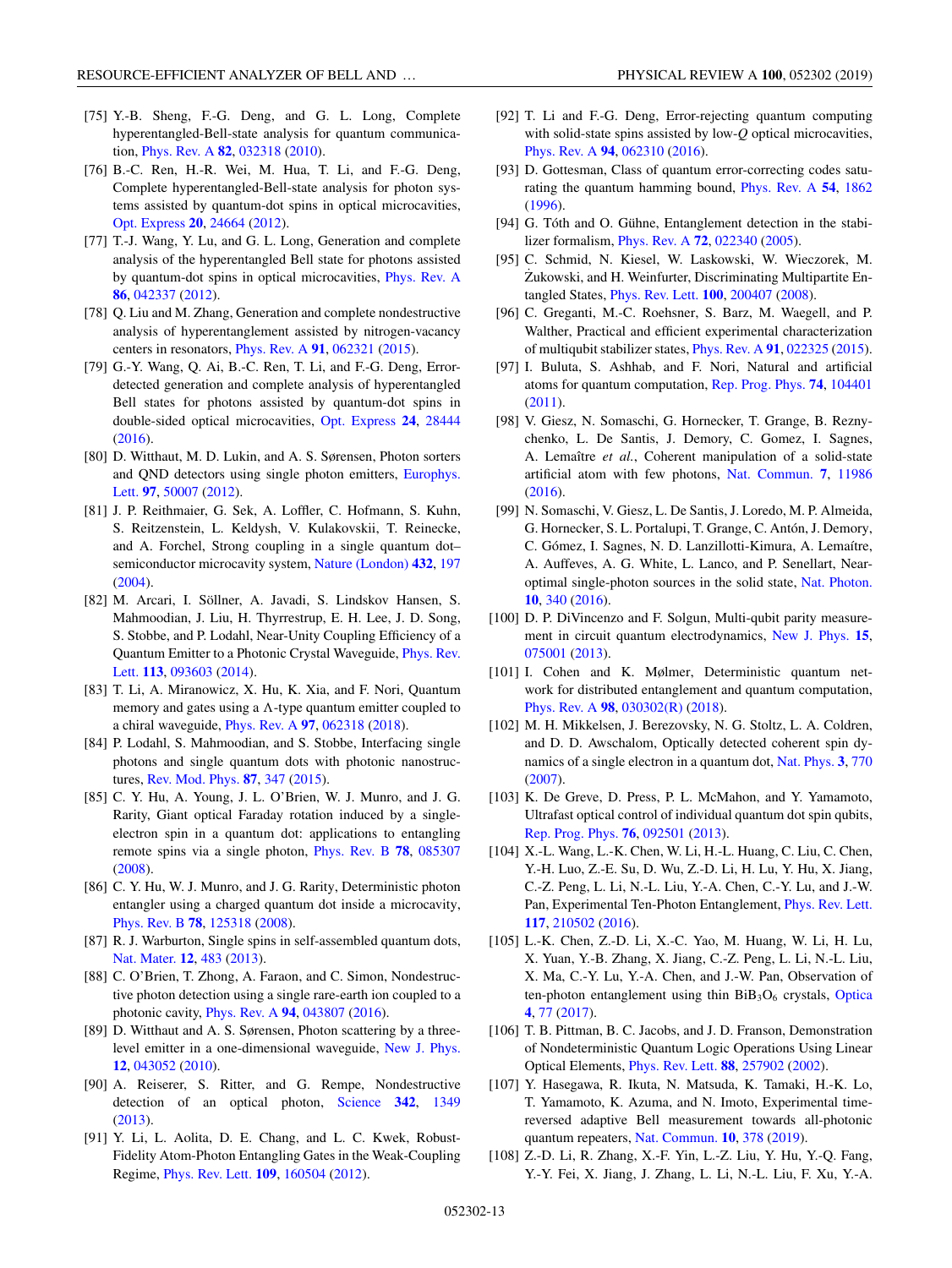- <span id="page-12-0"></span>[75] Y.-B. Sheng, F.-G. Deng, and G. L. Long, Complete hyperentangled-Bell-state analysis for quantum communication, [Phys. Rev. A](https://doi.org/10.1103/PhysRevA.82.032318) **[82](https://doi.org/10.1103/PhysRevA.82.032318)**, [032318](https://doi.org/10.1103/PhysRevA.82.032318) [\(2010\)](https://doi.org/10.1103/PhysRevA.82.032318).
- [76] B.-C. Ren, H.-R. Wei, M. Hua, T. Li, and F.-G. Deng, Complete hyperentangled-Bell-state analysis for photon systems assisted by quantum-dot spins in optical microcavities, [Opt. Express](https://doi.org/10.1364/OE.20.024664) **[20](https://doi.org/10.1364/OE.20.024664)**, [24664](https://doi.org/10.1364/OE.20.024664) [\(2012\)](https://doi.org/10.1364/OE.20.024664).
- [77] T.-J. Wang, Y. Lu, and G. L. Long, Generation and complete analysis of the hyperentangled Bell state for photons assisted by quantum-dot spins in optical microcavities, [Phys. Rev. A](https://doi.org/10.1103/PhysRevA.86.042337) **[86](https://doi.org/10.1103/PhysRevA.86.042337)**, [042337](https://doi.org/10.1103/PhysRevA.86.042337) [\(2012\)](https://doi.org/10.1103/PhysRevA.86.042337).
- [78] Q. Liu and M. Zhang, Generation and complete nondestructive analysis of hyperentanglement assisted by nitrogen-vacancy centers in resonators, [Phys. Rev. A](https://doi.org/10.1103/PhysRevA.91.062321) **[91](https://doi.org/10.1103/PhysRevA.91.062321)**, [062321](https://doi.org/10.1103/PhysRevA.91.062321) [\(2015\)](https://doi.org/10.1103/PhysRevA.91.062321).
- [79] G.-Y. Wang, Q. Ai, B.-C. Ren, T. Li, and F.-G. Deng, Errordetected generation and complete analysis of hyperentangled Bell states for photons assisted by quantum-dot spins in double-sided optical microcavities, [Opt. Express](https://doi.org/10.1364/OE.24.028444) **[24](https://doi.org/10.1364/OE.24.028444)**, [28444](https://doi.org/10.1364/OE.24.028444) [\(2016\)](https://doi.org/10.1364/OE.24.028444).
- [80] D. Witthaut, M. D. Lukin, and A. S. Sørensen, Photon sorters [and QND detectors using single photon emitters,](https://doi.org/10.1209/0295-5075/97/50007) Europhys. Lett. **[97](https://doi.org/10.1209/0295-5075/97/50007)**, [50007](https://doi.org/10.1209/0295-5075/97/50007) [\(2012\)](https://doi.org/10.1209/0295-5075/97/50007).
- [81] J. P. Reithmaier, G. Sek, A. Loffler, C. Hofmann, S. Kuhn, S. Reitzenstein, L. Keldysh, V. Kulakovskii, T. Reinecke, and A. Forchel, Strong coupling in a single quantum dot– semiconductor microcavity system, [Nature \(London\)](https://doi.org/10.1038/nature02969) **[432](https://doi.org/10.1038/nature02969)**, [197](https://doi.org/10.1038/nature02969) [\(2004\)](https://doi.org/10.1038/nature02969).
- [82] M. Arcari, I. Söllner, A. Javadi, S. Lindskov Hansen, S. Mahmoodian, J. Liu, H. Thyrrestrup, E. H. Lee, J. D. Song, S. Stobbe, and P. Lodahl, Near-Unity Coupling Efficiency of a [Quantum Emitter to a Photonic Crystal Waveguide,](https://doi.org/10.1103/PhysRevLett.113.093603) Phys. Rev. Lett. **[113](https://doi.org/10.1103/PhysRevLett.113.093603)**, [093603](https://doi.org/10.1103/PhysRevLett.113.093603) [\(2014\)](https://doi.org/10.1103/PhysRevLett.113.093603).
- [83] T. Li, A. Miranowicz, X. Hu, K. Xia, and F. Nori, Quantum memory and gates using a  $\Lambda$ -type quantum emitter coupled to a chiral waveguide, [Phys. Rev. A](https://doi.org/10.1103/PhysRevA.97.062318) **[97](https://doi.org/10.1103/PhysRevA.97.062318)**, [062318](https://doi.org/10.1103/PhysRevA.97.062318) [\(2018\)](https://doi.org/10.1103/PhysRevA.97.062318).
- [84] P. Lodahl, S. Mahmoodian, and S. Stobbe, Interfacing single photons and single quantum dots with photonic nanostructures, [Rev. Mod. Phys.](https://doi.org/10.1103/RevModPhys.87.347) **[87](https://doi.org/10.1103/RevModPhys.87.347)**, [347](https://doi.org/10.1103/RevModPhys.87.347) [\(2015\)](https://doi.org/10.1103/RevModPhys.87.347).
- [85] C. Y. Hu, A. Young, J. L. O'Brien, W. J. Munro, and J. G. Rarity, Giant optical Faraday rotation induced by a singleelectron spin in a quantum dot: applications to entangling remote spins via a single photon, [Phys. Rev. B](https://doi.org/10.1103/PhysRevB.78.085307) **[78](https://doi.org/10.1103/PhysRevB.78.085307)**, [085307](https://doi.org/10.1103/PhysRevB.78.085307) [\(2008\)](https://doi.org/10.1103/PhysRevB.78.085307).
- [86] C. Y. Hu, W. J. Munro, and J. G. Rarity, Deterministic photon entangler using a charged quantum dot inside a microcavity, [Phys. Rev. B](https://doi.org/10.1103/PhysRevB.78.125318) **[78](https://doi.org/10.1103/PhysRevB.78.125318)**, [125318](https://doi.org/10.1103/PhysRevB.78.125318) [\(2008\)](https://doi.org/10.1103/PhysRevB.78.125318).
- [87] R. J. Warburton, Single spins in self-assembled quantum dots, [Nat. Mater.](https://doi.org/10.1038/nmat3585) **[12](https://doi.org/10.1038/nmat3585)**, [483](https://doi.org/10.1038/nmat3585) [\(2013\)](https://doi.org/10.1038/nmat3585).
- [88] C. O'Brien, T. Zhong, A. Faraon, and C. Simon, Nondestructive photon detection using a single rare-earth ion coupled to a photonic cavity, [Phys. Rev. A](https://doi.org/10.1103/PhysRevA.94.043807) **[94](https://doi.org/10.1103/PhysRevA.94.043807)**, [043807](https://doi.org/10.1103/PhysRevA.94.043807) [\(2016\)](https://doi.org/10.1103/PhysRevA.94.043807).
- [89] D. Witthaut and A. S. Sørensen, Photon scattering by a threelevel emitter in a one-dimensional waveguide, [New J. Phys.](https://doi.org/10.1088/1367-2630/12/4/043052) **[12](https://doi.org/10.1088/1367-2630/12/4/043052)**, [043052](https://doi.org/10.1088/1367-2630/12/4/043052) [\(2010\)](https://doi.org/10.1088/1367-2630/12/4/043052).
- [90] A. Reiserer, S. Ritter, and G. Rempe, Nondestructive detection of an optical photon, [Science](https://doi.org/10.1126/science.1246164) **[342](https://doi.org/10.1126/science.1246164)**, [1349](https://doi.org/10.1126/science.1246164) [\(2013\)](https://doi.org/10.1126/science.1246164).
- [91] Y. Li, L. Aolita, D. E. Chang, and L. C. Kwek, Robust-Fidelity Atom-Photon Entangling Gates in the Weak-Coupling Regime, [Phys. Rev. Lett.](https://doi.org/10.1103/PhysRevLett.109.160504) **[109](https://doi.org/10.1103/PhysRevLett.109.160504)**, [160504](https://doi.org/10.1103/PhysRevLett.109.160504) [\(2012\)](https://doi.org/10.1103/PhysRevLett.109.160504).
- [92] T. Li and F.-G. Deng, Error-rejecting quantum computing with solid-state spins assisted by low-*Q* optical microcavities, [Phys. Rev. A](https://doi.org/10.1103/PhysRevA.94.062310) **[94](https://doi.org/10.1103/PhysRevA.94.062310)**, [062310](https://doi.org/10.1103/PhysRevA.94.062310) [\(2016\)](https://doi.org/10.1103/PhysRevA.94.062310).
- [93] D. Gottesman, Class of quantum error-correcting codes saturating the quantum hamming bound, [Phys. Rev. A](https://doi.org/10.1103/PhysRevA.54.1862) **[54](https://doi.org/10.1103/PhysRevA.54.1862)**, [1862](https://doi.org/10.1103/PhysRevA.54.1862) [\(1996\)](https://doi.org/10.1103/PhysRevA.54.1862).
- [94] G. Tóth and O. Gühne, Entanglement detection in the stabilizer formalism, [Phys. Rev. A](https://doi.org/10.1103/PhysRevA.72.022340) **[72](https://doi.org/10.1103/PhysRevA.72.022340)**, [022340](https://doi.org/10.1103/PhysRevA.72.022340) [\(2005\)](https://doi.org/10.1103/PhysRevA.72.022340).
- [95] C. Schmid, N. Kiesel, W. Laskowski, W. Wieczorek, M. Zukowski, and H. Weinfurter, Discriminating Multipartite Entangled States, [Phys. Rev. Lett.](https://doi.org/10.1103/PhysRevLett.100.200407) **[100](https://doi.org/10.1103/PhysRevLett.100.200407)**, [200407](https://doi.org/10.1103/PhysRevLett.100.200407) [\(2008\)](https://doi.org/10.1103/PhysRevLett.100.200407).
- [96] C. Greganti, M.-C. Roehsner, S. Barz, M. Waegell, and P. Walther, Practical and efficient experimental characterization of multiqubit stabilizer states, [Phys. Rev. A](https://doi.org/10.1103/PhysRevA.91.022325) **[91](https://doi.org/10.1103/PhysRevA.91.022325)**, [022325](https://doi.org/10.1103/PhysRevA.91.022325) [\(2015\)](https://doi.org/10.1103/PhysRevA.91.022325).
- [97] I. Buluta, S. Ashhab, and F. Nori, Natural and artificial atoms for quantum computation, [Rep. Prog. Phys.](https://doi.org/10.1088/0034-4885/74/10/104401) **[74](https://doi.org/10.1088/0034-4885/74/10/104401)**, [104401](https://doi.org/10.1088/0034-4885/74/10/104401) [\(2011\)](https://doi.org/10.1088/0034-4885/74/10/104401).
- [98] V. Giesz, N. Somaschi, G. Hornecker, T. Grange, B. Reznychenko, L. De Santis, J. Demory, C. Gomez, I. Sagnes, A. Lemaître *et al.*, Coherent manipulation of a solid-state artificial atom with few photons, [Nat. Commun.](https://doi.org/10.1038/ncomms11986) **[7](https://doi.org/10.1038/ncomms11986)**, [11986](https://doi.org/10.1038/ncomms11986) [\(2016\)](https://doi.org/10.1038/ncomms11986).
- [99] N. Somaschi, V. Giesz, L. De Santis, J. Loredo, M. P. Almeida, G. Hornecker, S. L. Portalupi, T. Grange, C. Antón, J. Demory, C. Gómez, I. Sagnes, N. D. Lanzillotti-Kimura, A. Lemaítre, A. Auffeves, A. G. White, L. Lanco, and P. Senellart, Nearoptimal single-photon sources in the solid state, [Nat. Photon.](https://doi.org/10.1038/nphoton.2016.23) **[10](https://doi.org/10.1038/nphoton.2016.23)**, [340](https://doi.org/10.1038/nphoton.2016.23) [\(2016\)](https://doi.org/10.1038/nphoton.2016.23).
- [100] D. P. DiVincenzo and F. Solgun, Multi-qubit parity measurement in circuit quantum electrodynamics, [New J. Phys.](https://doi.org/10.1088/1367-2630/15/7/075001) **[15](https://doi.org/10.1088/1367-2630/15/7/075001)**, [075001](https://doi.org/10.1088/1367-2630/15/7/075001) [\(2013\)](https://doi.org/10.1088/1367-2630/15/7/075001).
- [101] I. Cohen and K. Mølmer, Deterministic quantum network for distributed entanglement and quantum computation, [Phys. Rev. A](https://doi.org/10.1103/PhysRevA.98.030302) **[98](https://doi.org/10.1103/PhysRevA.98.030302)**, [030302\(R\)](https://doi.org/10.1103/PhysRevA.98.030302) [\(2018\)](https://doi.org/10.1103/PhysRevA.98.030302).
- [102] M. H. Mikkelsen, J. Berezovsky, N. G. Stoltz, L. A. Coldren, and D. D. Awschalom, Optically detected coherent spin dynamics of a single electron in a quantum dot, [Nat. Phys.](https://doi.org/10.1038/nphys736) **[3](https://doi.org/10.1038/nphys736)**, [770](https://doi.org/10.1038/nphys736) [\(2007\)](https://doi.org/10.1038/nphys736).
- [103] K. De Greve, D. Press, P. L. McMahon, and Y. Yamamoto, Ultrafast optical control of individual quantum dot spin qubits, [Rep. Prog. Phys.](https://doi.org/10.1088/0034-4885/76/9/092501) **[76](https://doi.org/10.1088/0034-4885/76/9/092501)**, [092501](https://doi.org/10.1088/0034-4885/76/9/092501) [\(2013\)](https://doi.org/10.1088/0034-4885/76/9/092501).
- [104] X.-L. Wang, L.-K. Chen, W. Li, H.-L. Huang, C. Liu, C. Chen, Y.-H. Luo, Z.-E. Su, D. Wu, Z.-D. Li, H. Lu, Y. Hu, X. Jiang, C.-Z. Peng, L. Li, N.-L. Liu, Y.-A. Chen, C.-Y. Lu, and J.-W. Pan, Experimental Ten-Photon Entanglement, [Phys. Rev. Lett.](https://doi.org/10.1103/PhysRevLett.117.210502) **[117](https://doi.org/10.1103/PhysRevLett.117.210502)**, [210502](https://doi.org/10.1103/PhysRevLett.117.210502) [\(2016\)](https://doi.org/10.1103/PhysRevLett.117.210502).
- [105] L.-K. Chen, Z.-D. Li, X.-C. Yao, M. Huang, W. Li, H. Lu, X. Yuan, Y.-B. Zhang, X. Jiang, C.-Z. Peng, L. Li, N.-L. Liu, X. Ma, C.-Y. Lu, Y.-A. Chen, and J.-W. Pan, Observation of ten-photon entanglement using thin  $BiB_3O_6$  crystals, [Optica](https://doi.org/10.1364/OPTICA.4.000077) **[4](https://doi.org/10.1364/OPTICA.4.000077)**, [77](https://doi.org/10.1364/OPTICA.4.000077) [\(2017\)](https://doi.org/10.1364/OPTICA.4.000077).
- [106] T. B. Pittman, B. C. Jacobs, and J. D. Franson, Demonstration of Nondeterministic Quantum Logic Operations Using Linear Optical Elements, [Phys. Rev. Lett.](https://doi.org/10.1103/PhysRevLett.88.257902) **[88](https://doi.org/10.1103/PhysRevLett.88.257902)**, [257902](https://doi.org/10.1103/PhysRevLett.88.257902) [\(2002\)](https://doi.org/10.1103/PhysRevLett.88.257902).
- [107] Y. Hasegawa, R. Ikuta, N. Matsuda, K. Tamaki, H.-K. Lo, T. Yamamoto, K. Azuma, and N. Imoto, Experimental timereversed adaptive Bell measurement towards all-photonic quantum repeaters, [Nat. Commun.](https://doi.org/10.1038/s41467-018-08099-5) **[10](https://doi.org/10.1038/s41467-018-08099-5)**, [378](https://doi.org/10.1038/s41467-018-08099-5) [\(2019\)](https://doi.org/10.1038/s41467-018-08099-5).
- [108] Z.-D. Li, R. Zhang, X.-F. Yin, L.-Z. Liu, Y. Hu, Y.-Q. Fang, Y.-Y. Fei, X. Jiang, J. Zhang, L. Li, N.-L. Liu, F. Xu, Y.-A.